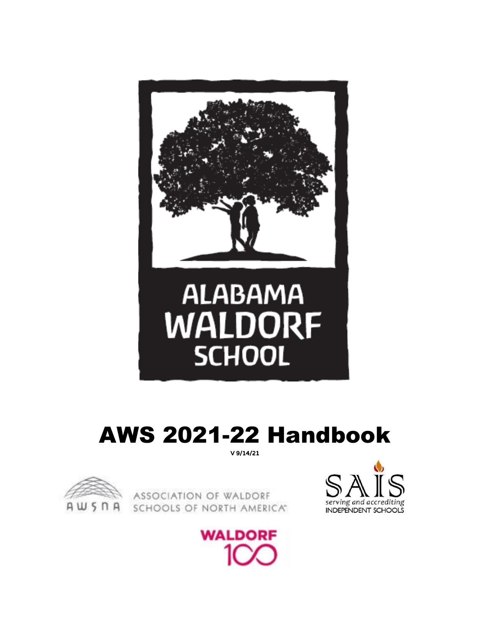

# AWS 2021-22 Handbook V 9/14/21



ASSOCIATION OF WALDORF SCHOOLS OF NORTH AMERICAT



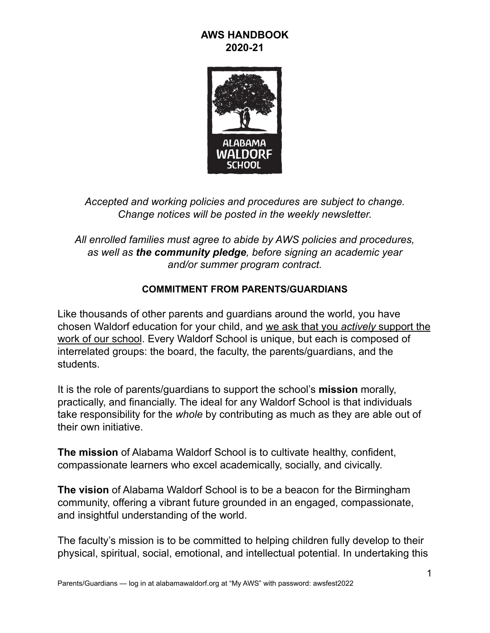# **AWS HANDBOOK 2020-21**



*Accepted and working policies and procedures are subject to change. Change notices will be posted in the weekly newsletter.*

*All enrolled families must agree to abide by AWS policies and procedures, as well as the community pledge, before signing an academic year and/or summer program contract.*

# **COMMITMENT FROM PARENTS/GUARDIANS**

Like thousands of other parents and guardians around the world, you have chosen Waldorf education for your child, and we ask that you *actively* support the work of our school. Every Waldorf School is unique, but each is composed of interrelated groups: the board, the faculty, the parents/guardians, and the students.

It is the role of parents/guardians to support the school's **mission** morally, practically, and financially. The ideal for any Waldorf School is that individuals take responsibility for the *whole* by contributing as much as they are able out of their own initiative.

**The mission** of Alabama Waldorf School is to cultivate healthy, confident, compassionate learners who excel academically, socially, and civically.

**The vision** of Alabama Waldorf School is to be a beacon for the Birmingham community, offering a vibrant future grounded in an engaged, compassionate, and insightful understanding of the world.

The faculty's mission is to be committed to helping children fully develop to their physical, spiritual, social, emotional, and intellectual potential. In undertaking this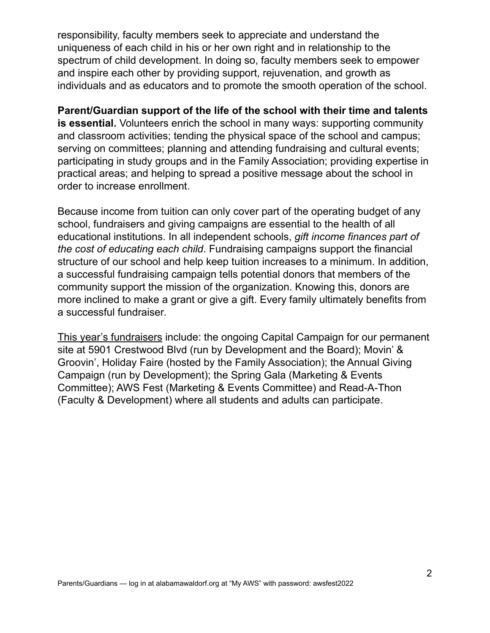responsibility, faculty members seek to appreciate and understand the uniqueness of each child in his or her own right and in relationship to the spectrum of child development. In doing so, faculty members seek to empower and inspire each other by providing support, rejuvenation, and growth as individuals and as educators and to promote the smooth operation of the school.

**Parent/Guardian support of the life of the school with their time and talents is essential.** Volunteers enrich the school in many ways: supporting community and classroom activities; tending the physical space of the school and campus; serving on committees; planning and attending fundraising and cultural events; participating in study groups and in the Family Association; providing expertise in practical areas; and helping to spread a positive message about the school in order to increase enrollment.

Because income from tuition can only cover part of the operating budget of any school, fundraisers and giving campaigns are essential to the health of all educational institutions. In all independent schools, *gift income finances part of the cost of educating each child*. Fundraising campaigns support the financial structure of our school and help keep tuition increases to a minimum. In addition, a successful fundraising campaign tells potential donors that members of the community support the mission of the organization. Knowing this, donors are more inclined to make a grant or give a gift. Every family ultimately benefits from a successful fundraiser*.*

This year's fundraisers include: the ongoing Capital Campaign for our permanent site at 5901 Crestwood Blvd (run by Development and the Board); Movin' & Groovin', Holiday Faire (hosted by the Family Association); the Annual Giving Campaign (run by Development); the Spring Gala (Marketing & Events Committee); AWS Fest (Marketing & Events Committee) and Read-A-Thon (Faculty & Development) where all students and adults can participate.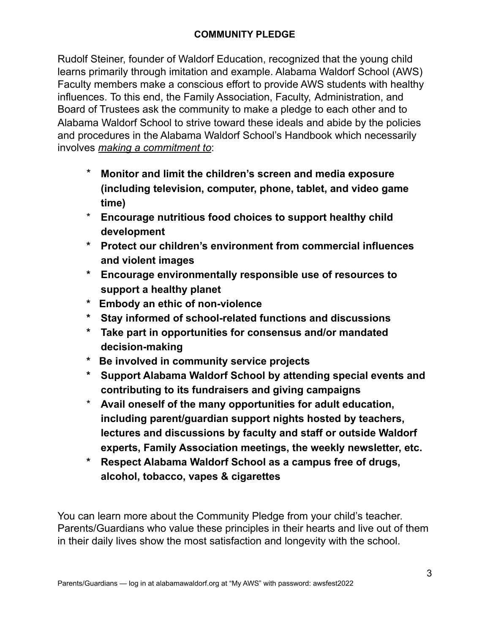# **COMMUNITY PLEDGE**

Rudolf Steiner, founder of Waldorf Education, recognized that the young child learns primarily through imitation and example. Alabama Waldorf School (AWS) Faculty members make a conscious effort to provide AWS students with healthy influences. To this end, the Family Association, Faculty, Administration, and Board of Trustees ask the community to make a pledge to each other and to Alabama Waldorf School to strive toward these ideals and abide by the policies and procedures in the Alabama Waldorf School's Handbook which necessarily involves *making a commitment to*:

- \* **Monitor and limit the children's screen and media exposure (including television, computer, phone, tablet, and video game time)**
- \* **Encourage nutritious food choices to support healthy child development**
- **\* Protect our children's environment from commercial influences and violent images**
- **\* Encourage environmentally responsible use of resources to support a healthy planet**
- **\* Embody an ethic of non-violence**
- **\* Stay informed of school-related functions and discussions**
- **\* Take part in opportunities for consensus and/or mandated decision-making**
- **\* Be involved in community service projects**
- **\* Support Alabama Waldorf School by attending special events and contributing to its fundraisers and giving campaigns**
- \* **Avail oneself of the many opportunities for adult education, including parent/guardian support nights hosted by teachers, lectures and discussions by faculty and staff or outside Waldorf experts, Family Association meetings, the weekly newsletter, etc.**
- **\* Respect Alabama Waldorf School as a campus free of drugs, alcohol, tobacco, vapes & cigarettes**

You can learn more about the Community Pledge from your child's teacher. Parents/Guardians who value these principles in their hearts and live out of them in their daily lives show the most satisfaction and longevity with the school.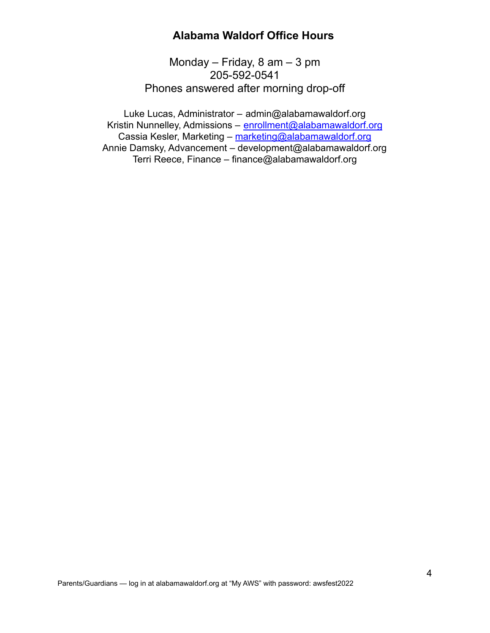# **Alabama Waldorf Office Hours**

Monday – Friday, 8 am – 3 pm 205-592-0541 Phones answered after morning drop-off

Luke Lucas, Administrator – [admin@alabamawaldorf.org](mailto:admin@alabamawaldorf.org) Kristin Nunnelley, Admissions – enrollment@alabamawaldorf.org Cassia Kesler, Marketing – marketing@alabamawaldorf.org Annie Damsky, Advancement – development@alabamawaldorf.org Terri Reece, Finance – finance@alabamawaldorf.org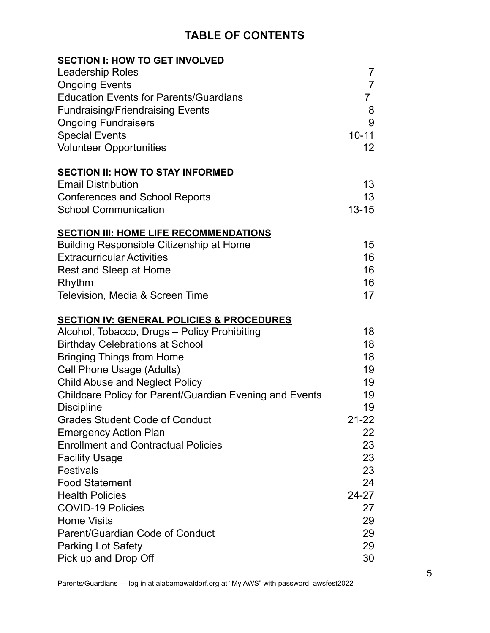# **TABLE OF CONTENTS**

| <b>SECTION I: HOW TO GET INVOLVED</b>                   |                   |
|---------------------------------------------------------|-------------------|
| <b>Leadership Roles</b>                                 | $\overline{7}$    |
| <b>Ongoing Events</b>                                   | $\overline{7}$    |
| <b>Education Events for Parents/Guardians</b>           | $\overline{7}$    |
| <b>Fundraising/Friendraising Events</b>                 | 8                 |
| <b>Ongoing Fundraisers</b>                              | 9                 |
| <b>Special Events</b>                                   | $10 - 11$         |
| <b>Volunteer Opportunities</b>                          | $12 \overline{ }$ |
| <b>SECTION II: HOW TO STAY INFORMED</b>                 |                   |
| <b>Email Distribution</b>                               | 13                |
| <b>Conferences and School Reports</b>                   | 13                |
| <b>School Communication</b>                             | $13 - 15$         |
| <b>SECTION III: HOME LIFE RECOMMENDATIONS</b>           |                   |
| <b>Building Responsible Citizenship at Home</b>         | 15                |
| <b>Extracurricular Activities</b>                       | 16                |
| Rest and Sleep at Home                                  | 16                |
| Rhythm                                                  | 16                |
| Television, Media & Screen Time                         | 17                |
| <b>SECTION IV: GENERAL POLICIES &amp; PROCEDURES</b>    |                   |
| Alcohol, Tobacco, Drugs - Policy Prohibiting            | 18                |
| <b>Birthday Celebrations at School</b>                  | 18                |
| <b>Bringing Things from Home</b>                        | 18                |
| Cell Phone Usage (Adults)                               | 19                |
| <b>Child Abuse and Neglect Policy</b>                   | 19                |
| Childcare Policy for Parent/Guardian Evening and Events | 19                |
| <b>Discipline</b>                                       | 19                |
| <b>Grades Student Code of Conduct</b>                   | $21 - 22$         |
| <b>Emergency Action Plan</b>                            | 22                |
| <b>Enrollment and Contractual Policies</b>              | 23                |
| <b>Facility Usage</b>                                   | 23                |
| <b>Festivals</b>                                        | 23                |
| <b>Food Statement</b>                                   | 24                |
| <b>Health Policies</b>                                  | $24 - 27$         |
| <b>COVID-19 Policies</b>                                | 27                |
| <b>Home Visits</b>                                      | 29                |
| Parent/Guardian Code of Conduct                         | 29                |
| <b>Parking Lot Safety</b>                               | 29                |
| Pick up and Drop Off                                    | 30                |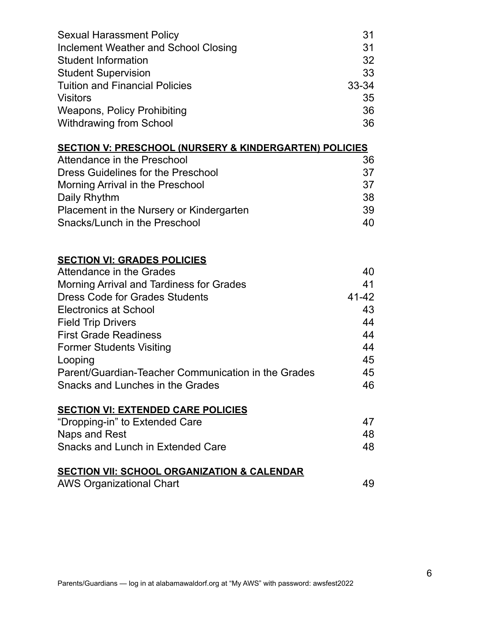| <b>Sexual Harassment Policy</b><br>Inclement Weather and School Closing | 31<br>31  |
|-------------------------------------------------------------------------|-----------|
| <b>Student Information</b>                                              | 32        |
| <b>Student Supervision</b>                                              | 33        |
| <b>Tuition and Financial Policies</b>                                   | $33 - 34$ |
| <b>Visitors</b>                                                         | 35        |
| <b>Weapons, Policy Prohibiting</b>                                      | 36        |
| <b>Withdrawing from School</b>                                          | 36        |
| <b>SECTION V: PRESCHOOL (NURSERY &amp; KINDERGARTEN) POLICIES</b>       |           |
| Attendance in the Preschool                                             | 36        |
| <b>Dress Guidelines for the Preschool</b>                               | 37        |
| Morning Arrival in the Preschool                                        | 37        |
| Daily Rhythm                                                            | 38        |
| Placement in the Nursery or Kindergarten                                | 39        |
| Snacks/Lunch in the Preschool                                           | 40        |
| <b>SECTION VI: GRADES POLICIES</b>                                      |           |
| Attendance in the Grades                                                | 40        |
| <b>Morning Arrival and Tardiness for Grades</b>                         | 41        |
| <b>Dress Code for Grades Students</b>                                   | $41 - 42$ |
| <b>Electronics at School</b>                                            | 43        |
| <b>Field Trip Drivers</b>                                               | 44        |
| <b>First Grade Readiness</b>                                            | 44        |
| <b>Former Students Visiting</b>                                         | 44        |
| Looping                                                                 | 45        |
| Parent/Guardian-Teacher Communication in the Grades                     | 45        |
| Snacks and Lunches in the Grades                                        | 46        |
| <b>SECTION VI: EXTENDED CARE POLICIES</b>                               |           |
| "Dropping-in" to Extended Care                                          | 47        |
| Naps and Rest                                                           | 48        |
| Snacks and Lunch in Extended Care                                       | 48        |
| <b>SECTION VII: SCHOOL ORGANIZATION &amp; CALENDAR</b>                  |           |
| <b>AWS Organizational Chart</b>                                         | 49        |
|                                                                         |           |
|                                                                         |           |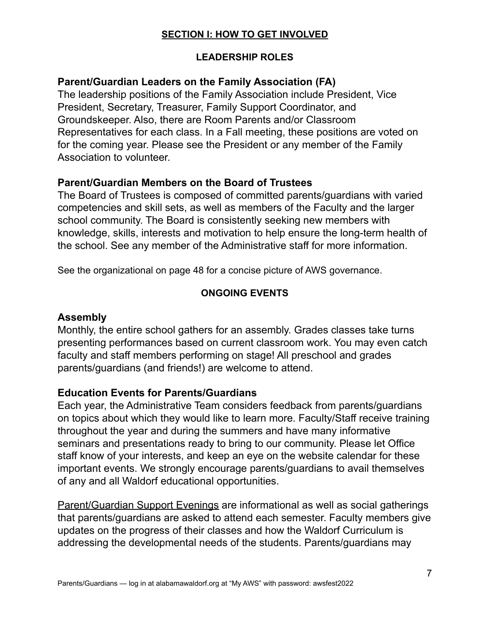# **SECTION I: HOW TO GET INVOLVED**

# **LEADERSHIP ROLES**

# **Parent/Guardian Leaders on the Family Association (FA)**

The leadership positions of the Family Association include President, Vice President, Secretary, Treasurer, Family Support Coordinator, and Groundskeeper. Also, there are Room Parents and/or Classroom Representatives for each class. In a Fall meeting, these positions are voted on for the coming year. Please see the President or any member of the Family Association to volunteer.

# **Parent/Guardian Members on the Board of Trustees**

The Board of Trustees is composed of committed parents/guardians with varied competencies and skill sets, as well as members of the Faculty and the larger school community. The Board is consistently seeking new members with knowledge, skills, interests and motivation to help ensure the long-term health of the school. See any member of the Administrative staff for more information.

See the organizational on page 48 for a concise picture of AWS governance.

# **ONGOING EVENTS**

### **Assembly**

Monthly, the entire school gathers for an assembly. Grades classes take turns presenting performances based on current classroom work. You may even catch faculty and staff members performing on stage! All preschool and grades parents/guardians (and friends!) are welcome to attend.

### **Education Events for Parents/Guardians**

Each year, the Administrative Team considers feedback from parents/guardians on topics about which they would like to learn more. Faculty/Staff receive training throughout the year and during the summers and have many informative seminars and presentations ready to bring to our community. Please let Office staff know of your interests, and keep an eye on the website calendar for these important events. We strongly encourage parents/guardians to avail themselves of any and all Waldorf educational opportunities.

Parent/Guardian Support Evenings are informational as well as social gatherings that parents/guardians are asked to attend each semester. Faculty members give updates on the progress of their classes and how the Waldorf Curriculum is addressing the developmental needs of the students. Parents/guardians may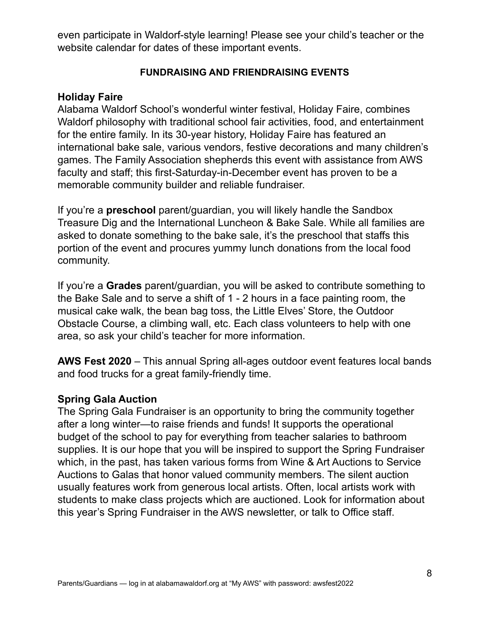even participate in Waldorf-style learning! Please see your child's teacher or the website calendar for dates of these important events.

### **FUNDRAISING AND FRIENDRAISING EVENTS**

# **Holiday Faire**

Alabama Waldorf School's wonderful winter festival, Holiday Faire, combines Waldorf philosophy with traditional school fair activities, food, and entertainment for the entire family. In its 30-year history, Holiday Faire has featured an international bake sale, various vendors, festive decorations and many children's games. The Family Association shepherds this event with assistance from AWS faculty and staff; this first-Saturday-in-December event has proven to be a memorable community builder and reliable fundraiser.

If you're a **preschool** parent/guardian, you will likely handle the Sandbox Treasure Dig and the International Luncheon & Bake Sale. While all families are asked to donate something to the bake sale, it's the preschool that staffs this portion of the event and procures yummy lunch donations from the local food community.

If you're a **Grades** parent/guardian, you will be asked to contribute something to the Bake Sale and to serve a shift of 1 - 2 hours in a face painting room, the musical cake walk, the bean bag toss, the Little Elves' Store, the Outdoor Obstacle Course, a climbing wall, etc. Each class volunteers to help with one area, so ask your child's teacher for more information.

**AWS Fest 2020** – This annual Spring all-ages outdoor event features local bands and food trucks for a great family-friendly time.

# **Spring Gala Auction**

The Spring Gala Fundraiser is an opportunity to bring the community together after a long winter—to raise friends and funds! It supports the operational budget of the school to pay for everything from teacher salaries to bathroom supplies. It is our hope that you will be inspired to support the Spring Fundraiser which, in the past, has taken various forms from Wine & Art Auctions to Service Auctions to Galas that honor valued community members. The silent auction usually features work from generous local artists. Often, local artists work with students to make class projects which are auctioned. Look for information about this year's Spring Fundraiser in the AWS newsletter, or talk to Office staff.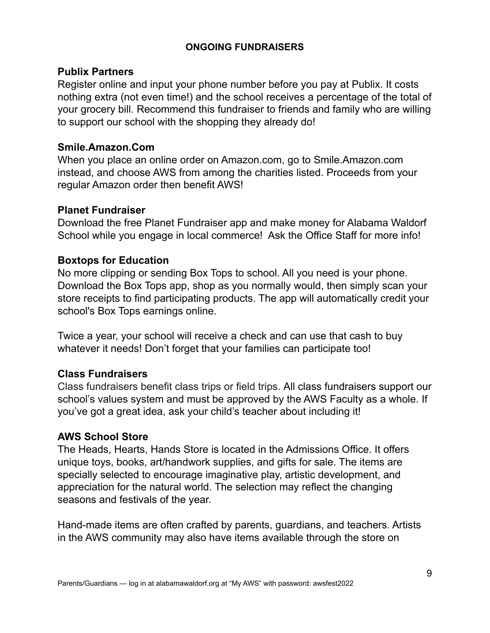### **ONGOING FUNDRAISERS**

### **Publix Partners**

Register online and input your phone number before you pay at Publix. It costs nothing extra (not even time!) and the school receives a percentage of the total of your grocery bill. Recommend this fundraiser to friends and family who are willing to support our school with the shopping they already do!

# **Smile.Amazon.Com**

When you place an online order on Amazon.com, go to Smile.Amazon.com instead, and choose AWS from among the charities listed. Proceeds from your regular Amazon order then benefit AWS!

# **Planet Fundraiser**

Download the free Planet Fundraiser app and make money for Alabama Waldorf School while you engage in local commerce! Ask the Office Staff for more info!

# **Boxtops for Education**

No more clipping or sending Box Tops to school. All you need is your phone. Download the Box Tops app, shop as you normally would, then simply scan your store receipts to find participating products. The app will automatically credit your school's Box Tops earnings online.

Twice a year, your school will receive a check and can use that cash to buy whatever it needs! Don't forget that your families can participate too!

# **Class Fundraisers**

Class fundraisers benefit class trips or field trips. All class fundraisers support our school's values system and must be approved by the AWS Faculty as a whole. If you've got a great idea, ask your child's teacher about including it!

### **AWS School Store**

The Heads, Hearts, Hands Store is located in the Admissions Office. It offers unique toys, books, art/handwork supplies, and gifts for sale. The items are specially selected to encourage imaginative play, artistic development, and appreciation for the natural world. The selection may reflect the changing seasons and festivals of the year.

Hand-made items are often crafted by parents, guardians, and teachers. Artists in the AWS community may also have items available through the store on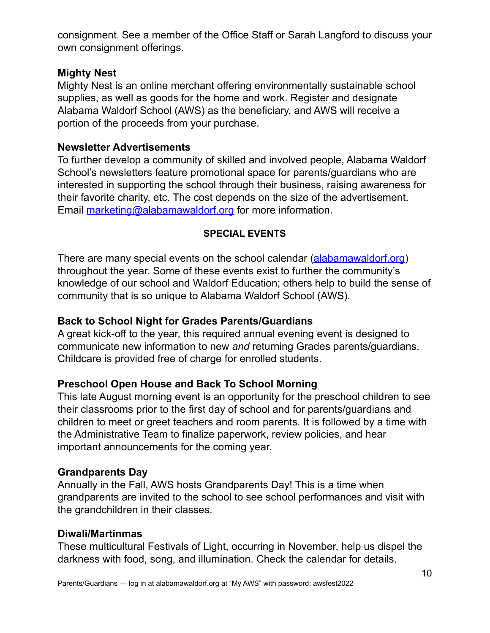consignment. See a member of the Office Staff or Sarah Langford to discuss your own consignment offerings.

# **Mighty Nest**

Mighty Nest is an online merchant offering environmentally sustainable school supplies, as well as goods for the home and work. Register and designate Alabama Waldorf School (AWS) as the beneficiary, and AWS will receive a portion of the proceeds from your purchase.

# **Newsletter Advertisements**

To further develop a community of skilled and involved people, Alabama Waldorf School's newsletters feature promotional space for parents/guardians who are interested in supporting the school through their business, raising awareness for their favorite charity, etc. The cost depends on the size of the advertisement. Email [marketing@alabamawaldorf.org](mailto:marketing@alabamawaldorf.org) for more information.

# **SPECIAL EVENTS**

There are many special events on the school calendar [\(alabamawaldorf.org](http://www.alabamawaldorf.org)) throughout the year. Some of these events exist to further the community's knowledge of our school and Waldorf Education; others help to build the sense of community that is so unique to Alabama Waldorf School (AWS).

# **Back to School Night for Grades Parents/Guardians**

A great kick-off to the year, this required annual evening event is designed to communicate new information to new *and* returning Grades parents/guardians. Childcare is provided free of charge for enrolled students.

# **Preschool Open House and Back To School Morning**

This late August morning event is an opportunity for the preschool children to see their classrooms prior to the first day of school and for parents/guardians and children to meet or greet teachers and room parents. It is followed by a time with the Administrative Team to finalize paperwork, review policies, and hear important announcements for the coming year.

# **Grandparents Day**

Annually in the Fall, AWS hosts Grandparents Day! This is a time when grandparents are invited to the school to see school performances and visit with the grandchildren in their classes.

### **Diwali/Martinmas**

These multicultural Festivals of Light, occurring in November, help us dispel the darkness with food, song, and illumination. Check the calendar for details.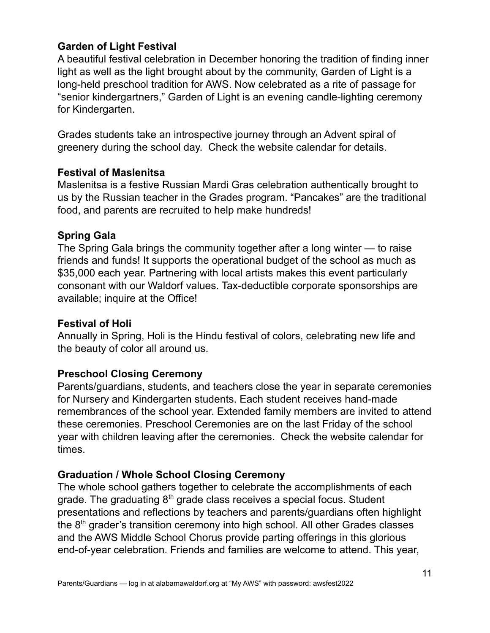# **Garden of Light Festival**

A beautiful festival celebration in December honoring the tradition of finding inner light as well as the light brought about by the community, Garden of Light is a long-held preschool tradition for AWS. Now celebrated as a rite of passage for "senior kindergartners," Garden of Light is an evening candle-lighting ceremony for Kindergarten.

Grades students take an introspective journey through an Advent spiral of greenery during the school day. Check the website calendar for details.

# **Festival of Maslenitsa**

Maslenitsa is a festive Russian Mardi Gras celebration authentically brought to us by the Russian teacher in the Grades program. "Pancakes" are the traditional food, and parents are recruited to help make hundreds!

# **Spring Gala**

The Spring Gala brings the community together after a long winter — to raise friends and funds! It supports the operational budget of the school as much as \$35,000 each year. Partnering with local artists makes this event particularly consonant with our Waldorf values. Tax-deductible corporate sponsorships are available; inquire at the Office!

# **Festival of Holi**

Annually in Spring, Holi is the Hindu festival of colors, celebrating new life and the beauty of color all around us.

# **Preschool Closing Ceremony**

Parents/guardians, students, and teachers close the year in separate ceremonies for Nursery and Kindergarten students. Each student receives hand-made remembrances of the school year. Extended family members are invited to attend these ceremonies. Preschool Ceremonies are on the last Friday of the school year with children leaving after the ceremonies. Check the website calendar for times.

# **Graduation / Whole School Closing Ceremony**

The whole school gathers together to celebrate the accomplishments of each grade. The graduating 8<sup>th</sup> grade class receives a special focus. Student presentations and reflections by teachers and parents/guardians often highlight the 8<sup>th</sup> grader's transition ceremony into high school. All other Grades classes and the AWS Middle School Chorus provide parting offerings in this glorious end-of-year celebration. Friends and families are welcome to attend. This year,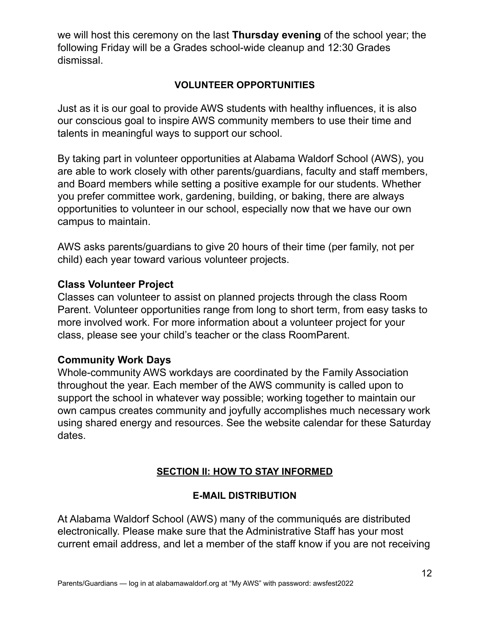we will host this ceremony on the last **Thursday evening** of the school year; the following Friday will be a Grades school-wide cleanup and 12:30 Grades dismissal.

# **VOLUNTEER OPPORTUNITIES**

Just as it is our goal to provide AWS students with healthy influences, it is also our conscious goal to inspire AWS community members to use their time and talents in meaningful ways to support our school.

By taking part in volunteer opportunities at Alabama Waldorf School (AWS), you are able to work closely with other parents/guardians, faculty and staff members, and Board members while setting a positive example for our students. Whether you prefer committee work, gardening, building, or baking, there are always opportunities to volunteer in our school, especially now that we have our own campus to maintain.

AWS asks parents/guardians to give 20 hours of their time (per family, not per child) each year toward various volunteer projects.

# **Class Volunteer Project**

Classes can volunteer to assist on planned projects through the class Room Parent. Volunteer opportunities range from long to short term, from easy tasks to more involved work. For more information about a volunteer project for your class, please see your child's teacher or the class RoomParent.

# **Community Work Days**

Whole-community AWS workdays are coordinated by the Family Association throughout the year. Each member of the AWS community is called upon to support the school in whatever way possible; working together to maintain our own campus creates community and joyfully accomplishes much necessary work using shared energy and resources. See the website calendar for these Saturday dates.

# **SECTION II: HOW TO STAY INFORMED**

### **E-MAIL DISTRIBUTION**

At Alabama Waldorf School (AWS) many of the communiqués are distributed electronically. Please make sure that the Administrative Staff has your most current email address, and let a member of the staff know if you are not receiving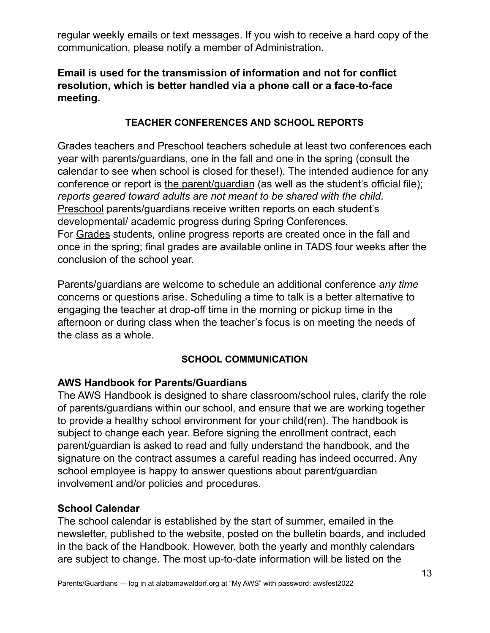regular weekly emails or text messages. If you wish to receive a hard copy of the communication, please notify a member of Administration.

# **Email is used for the transmission of information and not for conflict resolution, which is better handled via a phone call or a face-to-face meeting.**

# **TEACHER CONFERENCES AND SCHOOL REPORTS**

Grades teachers and Preschool teachers schedule at least two conferences each year with parents/guardians, one in the fall and one in the spring (consult the calendar to see when school is closed for these!). The intended audience for any conference or report is the parent/guardian (as well as the student's official file); *reports geared toward adults are not meant to be shared with the child*. Preschool parents/guardians receive written reports on each student's developmental/ academic progress during Spring Conferences. For Grades students, online progress reports are created once in the fall and once in the spring; final grades are available online in TADS four weeks after the conclusion of the school year.

Parents/guardians are welcome to schedule an additional conference *any time* concerns or questions arise. Scheduling a time to talk is a better alternative to engaging the teacher at drop-off time in the morning or pickup time in the afternoon or during class when the teacher's focus is on meeting the needs of the class as a whole.

### **SCHOOL COMMUNICATION**

# **AWS Handbook for Parents/Guardians**

The AWS Handbook is designed to share classroom/school rules, clarify the role of parents/guardians within our school, and ensure that we are working together to provide a healthy school environment for your child(ren). The handbook is subject to change each year. Before signing the enrollment contract, each parent/guardian is asked to read and fully understand the handbook, and the signature on the contract assumes a careful reading has indeed occurred. Any school employee is happy to answer questions about parent/guardian involvement and/or policies and procedures.

### **School Calendar**

The school calendar is established by the start of summer, emailed in the newsletter, published to the website, posted on the bulletin boards, and included in the back of the Handbook. However, both the yearly and monthly calendars are subject to change. The most up-to-date information will be listed on the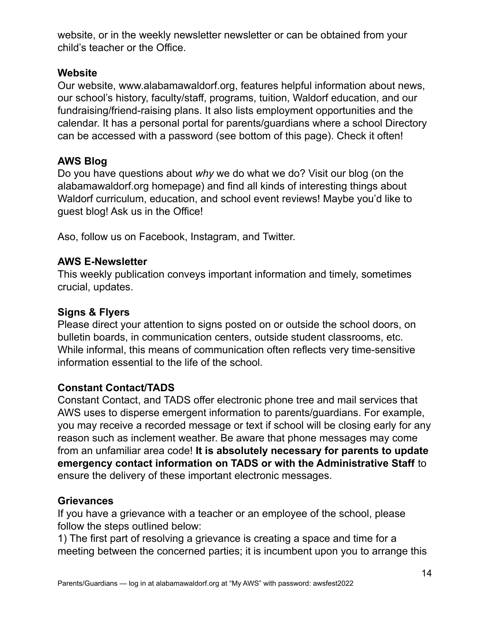website, or in the weekly newsletter newsletter or can be obtained from your child's teacher or the Office.

# **Website**

Our website, www.alabamawaldorf.org, features helpful information about news, our school's history, faculty/staff, programs, tuition, Waldorf education, and our fundraising/friend-raising plans. It also lists employment opportunities and the calendar. It has a personal portal for parents/guardians where a school Directory can be accessed with a password (see bottom of this page). Check it often!

# **AWS Blog**

Do you have questions about *why* we do what we do? Visit our blog (on the alabamawaldorf.org homepage) and find all kinds of interesting things about Waldorf curriculum, education, and school event reviews! Maybe you'd like to guest blog! Ask us in the Office!

Aso, follow us on Facebook, Instagram, and Twitter.

# **AWS E-Newsletter**

This weekly publication conveys important information and timely, sometimes crucial, updates.

# **Signs & Flyers**

Please direct your attention to signs posted on or outside the school doors, on bulletin boards, in communication centers, outside student classrooms, etc. While informal, this means of communication often reflects very time-sensitive information essential to the life of the school.

# **Constant Contact/TADS**

Constant Contact, and TADS offer electronic phone tree and mail services that AWS uses to disperse emergent information to parents/guardians. For example, you may receive a recorded message or text if school will be closing early for any reason such as inclement weather. Be aware that phone messages may come from an unfamiliar area code! **It is absolutely necessary for parents to update emergency contact information on TADS or with the Administrative Staff** to ensure the delivery of these important electronic messages.

# **Grievances**

If you have a grievance with a teacher or an employee of the school, please follow the steps outlined below:

1) The first part of resolving a grievance is creating a space and time for a meeting between the concerned parties; it is incumbent upon you to arrange this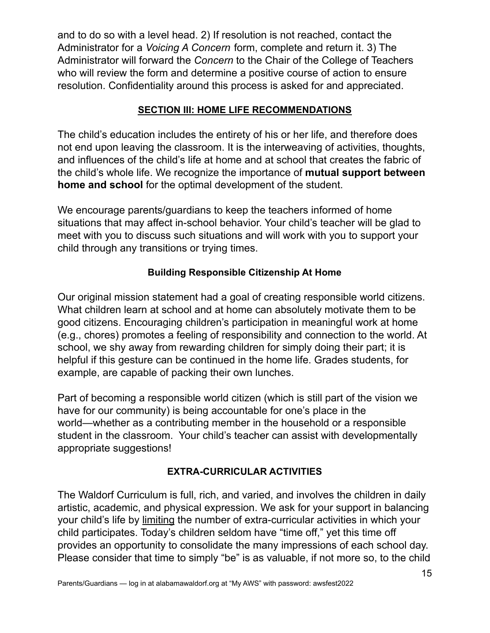and to do so with a level head. 2) If resolution is not reached, contact the Administrator for a *Voicing A Concern* form, complete and return it. 3) The Administrator will forward the *Concern* to the Chair of the College of Teachers who will review the form and determine a positive course of action to ensure resolution. Confidentiality around this process is asked for and appreciated.

# **SECTION III: HOME LIFE RECOMMENDATIONS**

The child's education includes the entirety of his or her life, and therefore does not end upon leaving the classroom. It is the interweaving of activities, thoughts, and influences of the child's life at home and at school that creates the fabric of the child's whole life. We recognize the importance of **mutual support between home and school** for the optimal development of the student.

We encourage parents/guardians to keep the teachers informed of home situations that may affect in-school behavior. Your child's teacher will be glad to meet with you to discuss such situations and will work with you to support your child through any transitions or trying times.

# **Building Responsible Citizenship At Home**

Our original mission statement had a goal of creating responsible world citizens. What children learn at school and at home can absolutely motivate them to be good citizens. Encouraging children's participation in meaningful work at home (e.g., chores) promotes a feeling of responsibility and connection to the world. At school, we shy away from rewarding children for simply doing their part; it is helpful if this gesture can be continued in the home life. Grades students, for example, are capable of packing their own lunches.

Part of becoming a responsible world citizen (which is still part of the vision we have for our community) is being accountable for one's place in the world—whether as a contributing member in the household or a responsible student in the classroom. Your child's teacher can assist with developmentally appropriate suggestions!

# **EXTRA-CURRICULAR ACTIVITIES**

The Waldorf Curriculum is full, rich, and varied, and involves the children in daily artistic, academic, and physical expression. We ask for your support in balancing your child's life by limiting the number of extra-curricular activities in which your child participates. Today's children seldom have "time off," yet this time off provides an opportunity to consolidate the many impressions of each school day. Please consider that time to simply "be" is as valuable, if not more so, to the child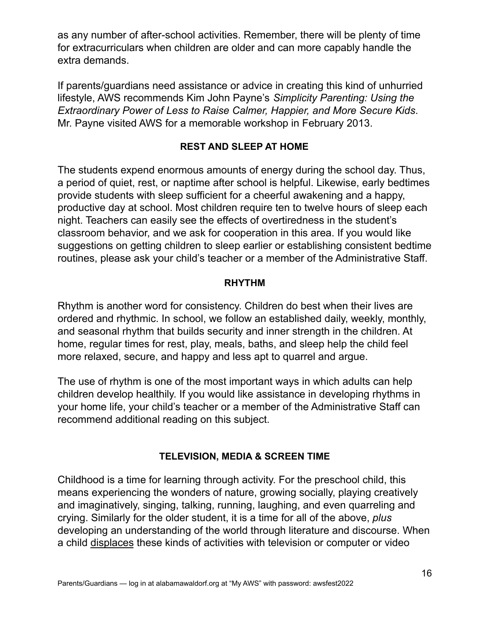as any number of after-school activities. Remember, there will be plenty of time for extracurriculars when children are older and can more capably handle the extra demands.

If parents/guardians need assistance or advice in creating this kind of unhurried lifestyle, AWS recommends Kim John Payne's *Simplicity Parenting: Using the Extraordinary Power of Less to Raise Calmer, Happier, and More Secure Kids*. Mr. Payne visited AWS for a memorable workshop in February 2013.

# **REST AND SLEEP AT HOME**

The students expend enormous amounts of energy during the school day. Thus, a period of quiet, rest, or naptime after school is helpful. Likewise, early bedtimes provide students with sleep sufficient for a cheerful awakening and a happy, productive day at school. Most children require ten to twelve hours of sleep each night. Teachers can easily see the effects of overtiredness in the student's classroom behavior, and we ask for cooperation in this area. If you would like suggestions on getting children to sleep earlier or establishing consistent bedtime routines, please ask your child's teacher or a member of the Administrative Staff.

### **RHYTHM**

Rhythm is another word for consistency. Children do best when their lives are ordered and rhythmic. In school, we follow an established daily, weekly, monthly, and seasonal rhythm that builds security and inner strength in the children. At home, regular times for rest, play, meals, baths, and sleep help the child feel more relaxed, secure, and happy and less apt to quarrel and argue.

The use of rhythm is one of the most important ways in which adults can help children develop healthily. If you would like assistance in developing rhythms in your home life, your child's teacher or a member of the Administrative Staff can recommend additional reading on this subject.

### **TELEVISION, MEDIA & SCREEN TIME**

Childhood is a time for learning through activity. For the preschool child, this means experiencing the wonders of nature, growing socially, playing creatively and imaginatively, singing, talking, running, laughing, and even quarreling and crying. Similarly for the older student, it is a time for all of the above, *plus* developing an understanding of the world through literature and discourse. When a child displaces these kinds of activities with television or computer or video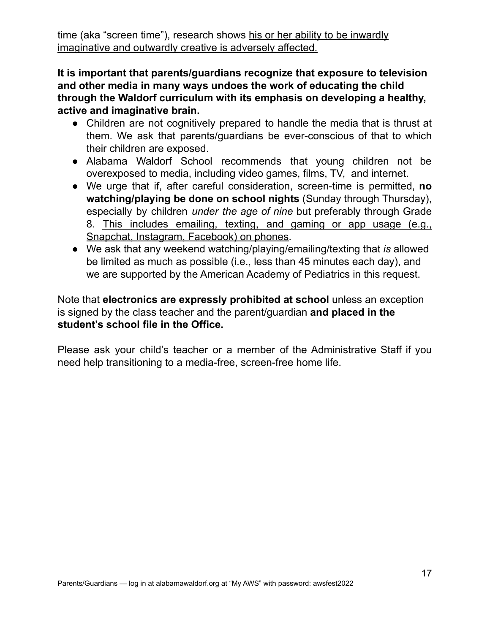time (aka "screen time"), research shows his or her ability to be inwardly imaginative and outwardly creative is adversely affected.

**It is important that parents/guardians recognize that exposure to television and other media in many ways undoes the work of educating the child through the Waldorf curriculum with its emphasis on developing a healthy, active and imaginative brain.**

- Children are not cognitively prepared to handle the media that is thrust at them. We ask that parents/guardians be ever-conscious of that to which their children are exposed.
- Alabama Waldorf School recommends that young children not be overexposed to media, including video games, films, TV, and internet.
- We urge that if, after careful consideration, screen-time is permitted, **no watching/playing be done on school nights** (Sunday through Thursday), especially by children *under the age of nine* but preferably through Grade 8. This includes emailing, texting, and gaming or app usage (e.g., Snapchat, Instagram, Facebook) on phones.
- We ask that any weekend watching/playing/emailing/texting that *is* allowed be limited as much as possible (i.e., less than 45 minutes each day), and we are supported by the American Academy of Pediatrics in this request.

Note that **electronics are expressly prohibited at school** unless an exception is signed by the class teacher and the parent/guardian **and placed in the student's school file in the Office.**

Please ask your child's teacher or a member of the Administrative Staff if you need help transitioning to a media-free, screen-free home life.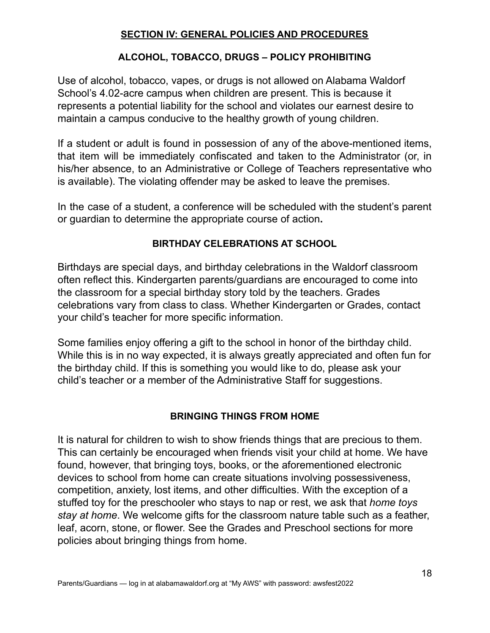# **SECTION IV: GENERAL POLICIES AND PROCEDURES**

# **ALCOHOL, TOBACCO, DRUGS – POLICY PROHIBITING**

Use of alcohol, tobacco, vapes, or drugs is not allowed on Alabama Waldorf School's 4.02-acre campus when children are present. This is because it represents a potential liability for the school and violates our earnest desire to maintain a campus conducive to the healthy growth of young children.

If a student or adult is found in possession of any of the above-mentioned items, that item will be immediately confiscated and taken to the Administrator (or, in his/her absence, to an Administrative or College of Teachers representative who is available). The violating offender may be asked to leave the premises.

In the case of a student, a conference will be scheduled with the student's parent or guardian to determine the appropriate course of action**.**

# **BIRTHDAY CELEBRATIONS AT SCHOOL**

Birthdays are special days, and birthday celebrations in the Waldorf classroom often reflect this. Kindergarten parents/guardians are encouraged to come into the classroom for a special birthday story told by the teachers. Grades celebrations vary from class to class. Whether Kindergarten or Grades, contact your child's teacher for more specific information.

Some families enjoy offering a gift to the school in honor of the birthday child. While this is in no way expected, it is always greatly appreciated and often fun for the birthday child. If this is something you would like to do, please ask your child's teacher or a member of the Administrative Staff for suggestions.

### **BRINGING THINGS FROM HOME**

It is natural for children to wish to show friends things that are precious to them. This can certainly be encouraged when friends visit your child at home. We have found, however, that bringing toys, books, or the aforementioned electronic devices to school from home can create situations involving possessiveness, competition, anxiety, lost items, and other difficulties. With the exception of a stuffed toy for the preschooler who stays to nap or rest, we ask that *home toys stay at home*. We welcome gifts for the classroom nature table such as a feather, leaf, acorn, stone, or flower. See the Grades and Preschool sections for more policies about bringing things from home.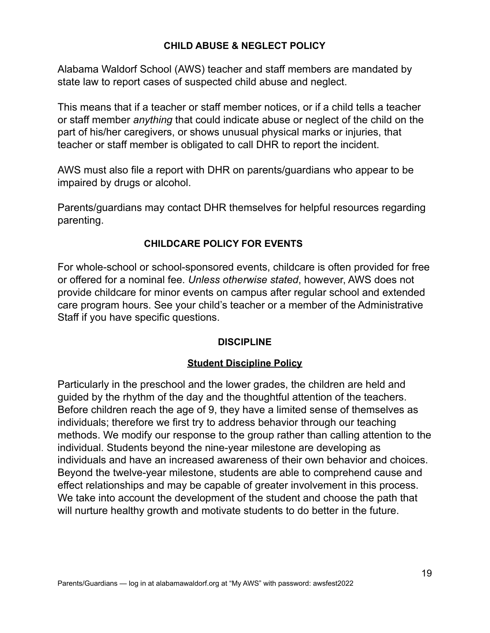### **CHILD ABUSE & NEGLECT POLICY**

Alabama Waldorf School (AWS) teacher and staff members are mandated by state law to report cases of suspected child abuse and neglect.

This means that if a teacher or staff member notices, or if a child tells a teacher or staff member *anything* that could indicate abuse or neglect of the child on the part of his/her caregivers, or shows unusual physical marks or injuries, that teacher or staff member is obligated to call DHR to report the incident.

AWS must also file a report with DHR on parents/guardians who appear to be impaired by drugs or alcohol.

Parents/guardians may contact DHR themselves for helpful resources regarding parenting.

# **CHILDCARE POLICY FOR EVENTS**

For whole-school or school-sponsored events, childcare is often provided for free or offered for a nominal fee. *Unless otherwise stated*, however, AWS does not provide childcare for minor events on campus after regular school and extended care program hours. See your child's teacher or a member of the Administrative Staff if you have specific questions.

### **DISCIPLINE**

### **Student Discipline Policy**

Particularly in the preschool and the lower grades, the children are held and guided by the rhythm of the day and the thoughtful attention of the teachers. Before children reach the age of 9, they have a limited sense of themselves as individuals; therefore we first try to address behavior through our teaching methods. We modify our response to the group rather than calling attention to the individual. Students beyond the nine-year milestone are developing as individuals and have an increased awareness of their own behavior and choices. Beyond the twelve-year milestone, students are able to comprehend cause and effect relationships and may be capable of greater involvement in this process. We take into account the development of the student and choose the path that will nurture healthy growth and motivate students to do better in the future.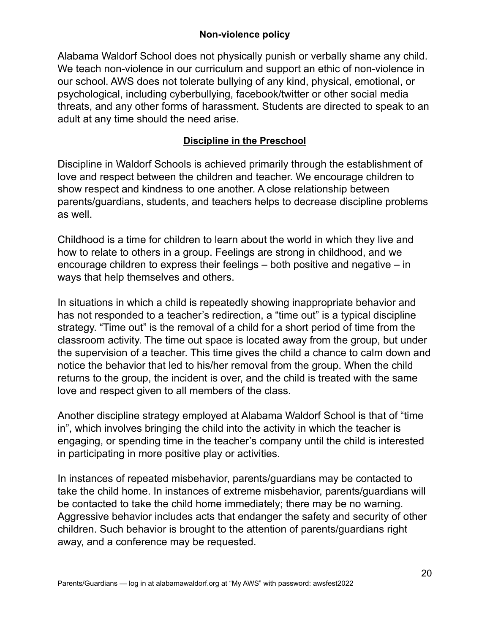# **Non-violence policy**

Alabama Waldorf School does not physically punish or verbally shame any child. We teach non-violence in our curriculum and support an ethic of non-violence in our school. AWS does not tolerate bullying of any kind, physical, emotional, or psychological, including cyberbullying, facebook/twitter or other social media threats, and any other forms of harassment. Students are directed to speak to an adult at any time should the need arise.

# **Discipline in the Preschool**

Discipline in Waldorf Schools is achieved primarily through the establishment of love and respect between the children and teacher. We encourage children to show respect and kindness to one another. A close relationship between parents/guardians, students, and teachers helps to decrease discipline problems as well.

Childhood is a time for children to learn about the world in which they live and how to relate to others in a group. Feelings are strong in childhood, and we encourage children to express their feelings – both positive and negative – in ways that help themselves and others.

In situations in which a child is repeatedly showing inappropriate behavior and has not responded to a teacher's redirection, a "time out" is a typical discipline strategy. "Time out" is the removal of a child for a short period of time from the classroom activity. The time out space is located away from the group, but under the supervision of a teacher. This time gives the child a chance to calm down and notice the behavior that led to his/her removal from the group. When the child returns to the group, the incident is over, and the child is treated with the same love and respect given to all members of the class.

Another discipline strategy employed at Alabama Waldorf School is that of "time in", which involves bringing the child into the activity in which the teacher is engaging, or spending time in the teacher's company until the child is interested in participating in more positive play or activities.

In instances of repeated misbehavior, parents/guardians may be contacted to take the child home. In instances of extreme misbehavior, parents/guardians will be contacted to take the child home immediately; there may be no warning. Aggressive behavior includes acts that endanger the safety and security of other children. Such behavior is brought to the attention of parents/guardians right away, and a conference may be requested.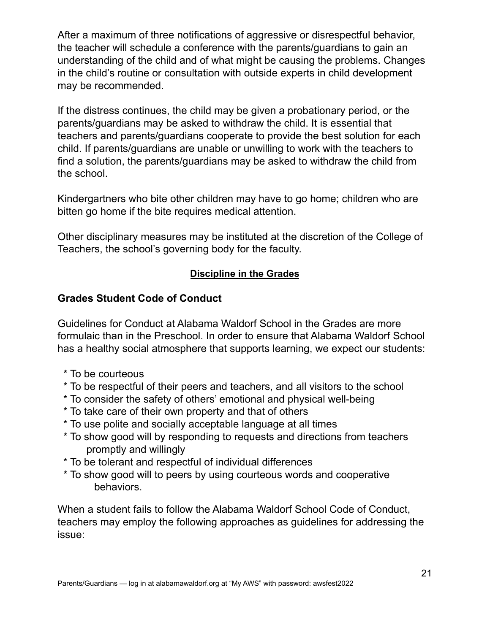After a maximum of three notifications of aggressive or disrespectful behavior, the teacher will schedule a conference with the parents/guardians to gain an understanding of the child and of what might be causing the problems. Changes in the child's routine or consultation with outside experts in child development may be recommended.

If the distress continues, the child may be given a probationary period, or the parents/guardians may be asked to withdraw the child. It is essential that teachers and parents/guardians cooperate to provide the best solution for each child. If parents/guardians are unable or unwilling to work with the teachers to find a solution, the parents/guardians may be asked to withdraw the child from the school.

Kindergartners who bite other children may have to go home; children who are bitten go home if the bite requires medical attention.

Other disciplinary measures may be instituted at the discretion of the College of Teachers, the school's governing body for the faculty.

# **Discipline in the Grades**

# **Grades Student Code of Conduct**

Guidelines for Conduct at Alabama Waldorf School in the Grades are more formulaic than in the Preschool. In order to ensure that Alabama Waldorf School has a healthy social atmosphere that supports learning, we expect our students:

- \* To be courteous
- \* To be respectful of their peers and teachers, and all visitors to the school
- \* To consider the safety of others' emotional and physical well-being
- \* To take care of their own property and that of others
- \* To use polite and socially acceptable language at all times
- \* To show good will by responding to requests and directions from teachers promptly and willingly
- \* To be tolerant and respectful of individual differences
- \* To show good will to peers by using courteous words and cooperative behaviors.

When a student fails to follow the Alabama Waldorf School Code of Conduct, teachers may employ the following approaches as guidelines for addressing the issue: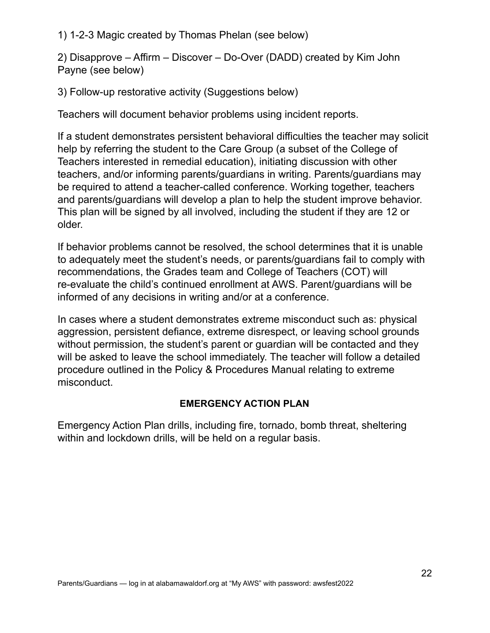1) 1-2-3 Magic created by Thomas Phelan (see below)

2) Disapprove – Affirm – Discover – Do-Over (DADD) created by Kim John Payne (see below)

3) Follow-up restorative activity (Suggestions below)

Teachers will document behavior problems using incident reports.

If a student demonstrates persistent behavioral difficulties the teacher may solicit help by referring the student to the Care Group (a subset of the College of Teachers interested in remedial education), initiating discussion with other teachers, and/or informing parents/guardians in writing. Parents/guardians may be required to attend a teacher-called conference. Working together, teachers and parents/guardians will develop a plan to help the student improve behavior. This plan will be signed by all involved, including the student if they are 12 or older.

If behavior problems cannot be resolved, the school determines that it is unable to adequately meet the student's needs, or parents/guardians fail to comply with recommendations, the Grades team and College of Teachers (COT) will re-evaluate the child's continued enrollment at AWS. Parent/guardians will be informed of any decisions in writing and/or at a conference.

In cases where a student demonstrates extreme misconduct such as: physical aggression, persistent defiance, extreme disrespect, or leaving school grounds without permission, the student's parent or guardian will be contacted and they will be asked to leave the school immediately. The teacher will follow a detailed procedure outlined in the Policy & Procedures Manual relating to extreme misconduct.

# **EMERGENCY ACTION PLAN**

Emergency Action Plan drills, including fire, tornado, bomb threat, sheltering within and lockdown drills, will be held on a regular basis.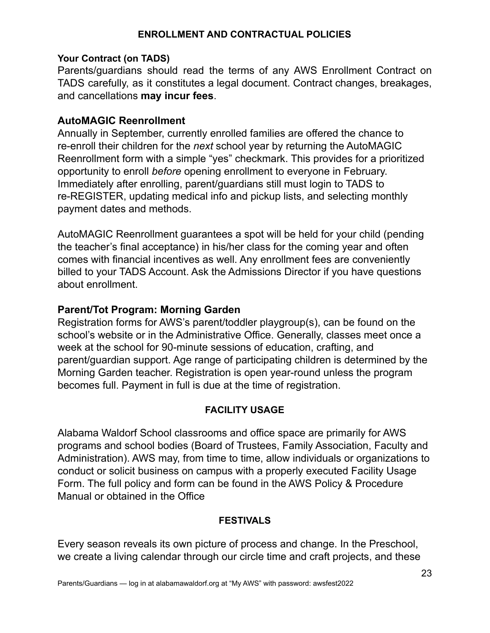### **ENROLLMENT AND CONTRACTUAL POLICIES**

#### **Your Contract (on TADS)**

Parents/guardians should read the terms of any AWS Enrollment Contract on TADS carefully, as it constitutes a legal document. Contract changes, breakages, and cancellations **may incur fees**.

### **AutoMAGIC Reenrollment**

Annually in September, currently enrolled families are offered the chance to re-enroll their children for the *next* school year by returning the AutoMAGIC Reenrollment form with a simple "yes" checkmark. This provides for a prioritized opportunity to enroll *before* opening enrollment to everyone in February. Immediately after enrolling, parent/guardians still must login to TADS to re-REGISTER, updating medical info and pickup lists, and selecting monthly payment dates and methods.

AutoMAGIC Reenrollment guarantees a spot will be held for your child (pending the teacher's final acceptance) in his/her class for the coming year and often comes with financial incentives as well. Any enrollment fees are conveniently billed to your TADS Account. Ask the Admissions Director if you have questions about enrollment.

# **Parent/Tot Program: Morning Garden**

Registration forms for AWS's parent/toddler playgroup(s), can be found on the school's website or in the Administrative Office. Generally, classes meet once a week at the school for 90-minute sessions of education, crafting, and parent/guardian support. Age range of participating children is determined by the Morning Garden teacher. Registration is open year-round unless the program becomes full. Payment in full is due at the time of registration.

### **FACILITY USAGE**

Alabama Waldorf School classrooms and office space are primarily for AWS programs and school bodies (Board of Trustees, Family Association, Faculty and Administration). AWS may, from time to time, allow individuals or organizations to conduct or solicit business on campus with a properly executed Facility Usage Form. The full policy and form can be found in the AWS Policy & Procedure Manual or obtained in the Office

#### **FESTIVALS**

Every season reveals its own picture of process and change. In the Preschool, we create a living calendar through our circle time and craft projects, and these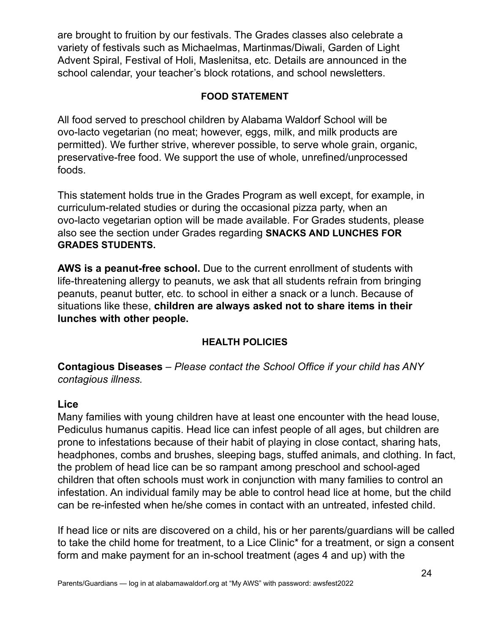are brought to fruition by our festivals. The Grades classes also celebrate a variety of festivals such as Michaelmas, Martinmas/Diwali, Garden of Light Advent Spiral, Festival of Holi, Maslenitsa, etc. Details are announced in the school calendar, your teacher's block rotations, and school newsletters.

# **FOOD STATEMENT**

All food served to preschool children by Alabama Waldorf School will be ovo-lacto vegetarian (no meat; however, eggs, milk, and milk products are permitted). We further strive, wherever possible, to serve whole grain, organic, preservative-free food. We support the use of whole, unrefined/unprocessed foods.

This statement holds true in the Grades Program as well except, for example, in curriculum-related studies or during the occasional pizza party, when an ovo-lacto vegetarian option will be made available. For Grades students, please also see the section under Grades regarding **SNACKS AND LUNCHES FOR GRADES STUDENTS.**

**AWS is a peanut-free school.** Due to the current enrollment of students with life-threatening allergy to peanuts, we ask that all students refrain from bringing peanuts, peanut butter, etc. to school in either a snack or a lunch. Because of situations like these, **children are always asked not to share items in their lunches with other people.**

# **HEALTH POLICIES**

**Contagious Diseases** – *Please contact the School Office if your child has ANY contagious illness.*

### **Lice**

Many families with young children have at least one encounter with the head louse, Pediculus humanus capitis. Head lice can infest people of all ages, but children are prone to infestations because of their habit of playing in close contact, sharing hats, headphones, combs and brushes, sleeping bags, stuffed animals, and clothing. In fact, the problem of head lice can be so rampant among preschool and school-aged children that often schools must work in conjunction with many families to control an infestation. An individual family may be able to control head lice at home, but the child can be re-infested when he/she comes in contact with an untreated, infested child.

If head lice or nits are discovered on a child, his or her parents/guardians will be called to take the child home for treatment, to a Lice Clinic\* for a treatment, or sign a consent form and make payment for an in-school treatment (ages 4 and up) with the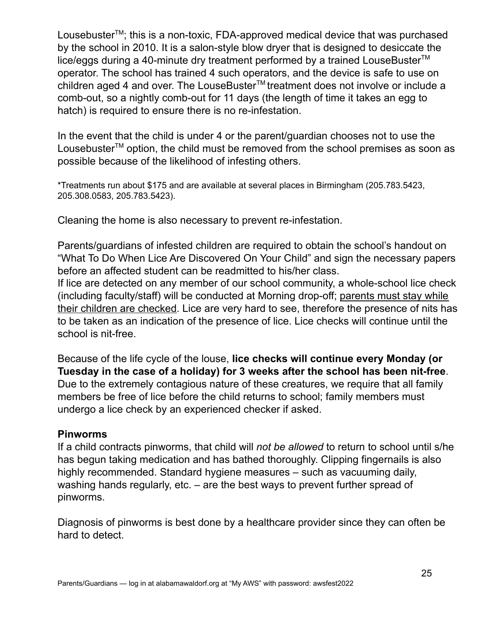Lousebuster<sup>™</sup>; this is a non-toxic, FDA-approved medical device that was purchased by the school in 2010. It is a salon-style blow dryer that is designed to desiccate the lice/eggs during a 40-minute dry treatment performed by a trained LouseBuster<sup>™</sup> operator. The school has trained 4 such operators, and the device is safe to use on children aged 4 and over. The LouseBuster<sup>™</sup> treatment does not involve or include a comb-out, so a nightly comb-out for 11 days (the length of time it takes an egg to hatch) is required to ensure there is no re-infestation.

In the event that the child is under 4 or the parent/guardian chooses not to use the Lousebuster<sup>™</sup> option, the child must be removed from the school premises as soon as possible because of the likelihood of infesting others.

\*Treatments run about \$175 and are available at several places in Birmingham (205.783.5423, 205.308.0583, 205.783.5423).

Cleaning the home is also necessary to prevent re-infestation.

Parents/guardians of infested children are required to obtain the school's handout on "What To Do When Lice Are Discovered On Your Child" and sign the necessary papers before an affected student can be readmitted to his/her class.

If lice are detected on any member of our school community, a whole-school lice check (including faculty/staff) will be conducted at Morning drop-off; parents must stay while their children are checked. Lice are very hard to see, therefore the presence of nits has to be taken as an indication of the presence of lice. Lice checks will continue until the school is nit-free.

Because of the life cycle of the louse, **lice checks will continue every Monday (or Tuesday in the case of a holiday) for 3 weeks after the school has been nit-free**. Due to the extremely contagious nature of these creatures, we require that all family members be free of lice before the child returns to school; family members must undergo a lice check by an experienced checker if asked.

### **Pinworms**

If a child contracts pinworms, that child will *not be allowed* to return to school until s/he has begun taking medication and has bathed thoroughly. Clipping fingernails is also highly recommended. Standard hygiene measures – such as vacuuming daily, washing hands regularly, etc. – are the best ways to prevent further spread of pinworms.

Diagnosis of pinworms is best done by a healthcare provider since they can often be hard to detect.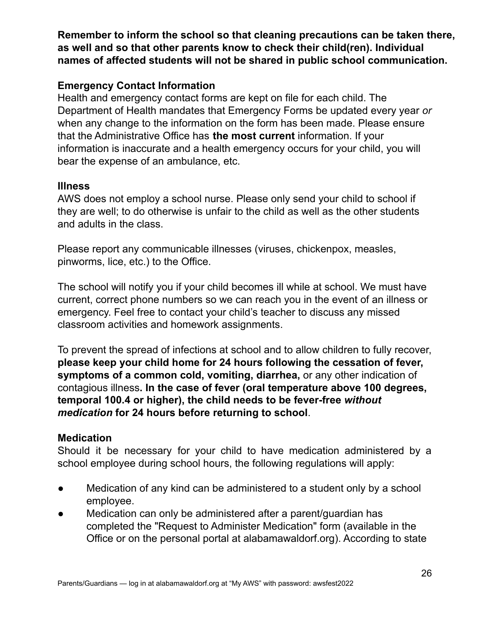**Remember to inform the school so that cleaning precautions can be taken there, as well and so that other parents know to check their child(ren). Individual names of affected students will not be shared in public school communication.**

# **Emergency Contact Information**

Health and emergency contact forms are kept on file for each child. The Department of Health mandates that Emergency Forms be updated every year *or* when any change to the information on the form has been made. Please ensure that the Administrative Office has **the most current** information. If your information is inaccurate and a health emergency occurs for your child, you will bear the expense of an ambulance, etc.

# **Illness**

AWS does not employ a school nurse. Please only send your child to school if they are well; to do otherwise is unfair to the child as well as the other students and adults in the class.

Please report any communicable illnesses (viruses, chickenpox, measles, pinworms, lice, etc.) to the Office.

The school will notify you if your child becomes ill while at school. We must have current, correct phone numbers so we can reach you in the event of an illness or emergency. Feel free to contact your child's teacher to discuss any missed classroom activities and homework assignments.

To prevent the spread of infections at school and to allow children to fully recover, **please keep your child home for 24 hours following the cessation of fever, symptoms of a common cold, vomiting, diarrhea,** or any other indication of contagious illness**. In the case of fever (oral temperature above 100 degrees, temporal 100.4 or higher), the child needs to be fever-free** *without medication* **for 24 hours before returning to school**.

# **Medication**

Should it be necessary for your child to have medication administered by a school employee during school hours, the following regulations will apply:

- Medication of any kind can be administered to a student only by a school employee.
- Medication can only be administered after a parent/guardian has completed the "Request to Administer Medication" form (available in the Office or on the personal portal at alabamawaldorf.org). According to state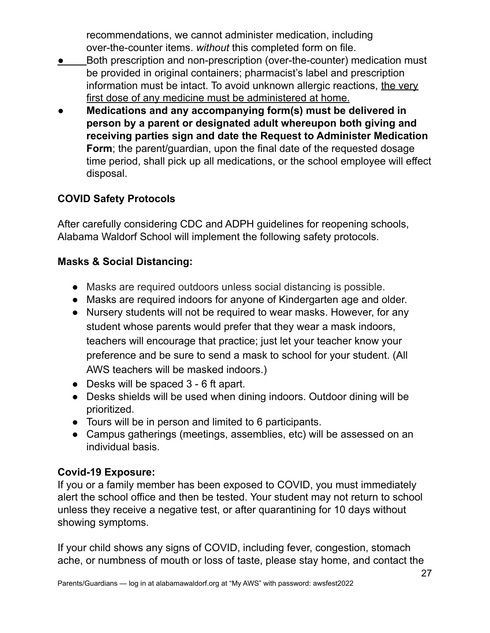recommendations, we cannot administer medication, including over-the-counter items. *without* this completed form on file.

- Both prescription and non-prescription (over-the-counter) medication must be provided in original containers; pharmacist's label and prescription information must be intact. To avoid unknown allergic reactions, the very first dose of any medicine must be administered at home.
- **Medications and any accompanying form(s) must be delivered in person by a parent or designated adult whereupon both giving and receiving parties sign and date the Request to Administer Medication Form**; the parent/guardian, upon the final date of the requested dosage time period, shall pick up all medications, or the school employee will effect disposal.

# **COVID Safety Protocols**

After carefully considering CDC and ADPH guidelines for reopening schools, Alabama Waldorf School will implement the following safety protocols.

# **Masks & Social Distancing:**

- Masks are required outdoors unless social distancing is possible.
- Masks are required indoors for anyone of Kindergarten age and older.
- Nursery students will not be required to wear masks. However, for any student whose parents would prefer that they wear a mask indoors, teachers will encourage that practice; just let your teacher know your preference and be sure to send a mask to school for your student. (All AWS teachers will be masked indoors.)
- Desks will be spaced 3 6 ft apart.
- Desks shields will be used when dining indoors. Outdoor dining will be prioritized.
- Tours will be in person and limited to 6 participants.
- Campus gatherings (meetings, assemblies, etc) will be assessed on an individual basis.

# **Covid-19 Exposure:**

If you or a family member has been exposed to COVID, you must immediately alert the school office and then be tested. Your student may not return to school unless they receive a negative test, or after quarantining for 10 days without showing symptoms.

If your child shows any signs of COVID, including fever, congestion, stomach ache, or numbness of mouth or loss of taste, please stay home, and contact the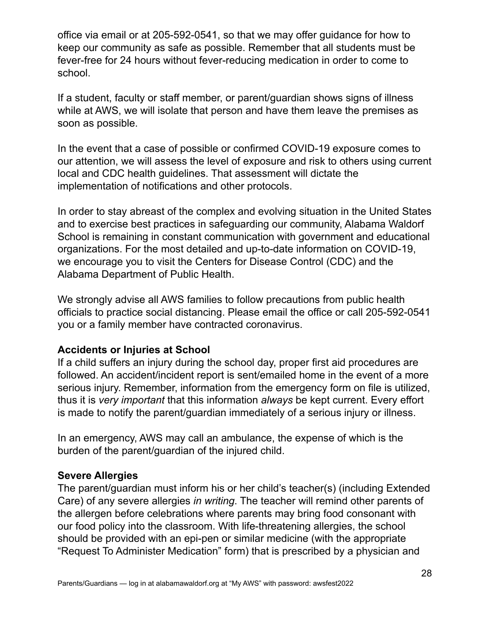office via email or at 205-592-0541, so that we may offer guidance for how to keep our community as safe as possible. Remember that all students must be fever-free for 24 hours without fever-reducing medication in order to come to school.

If a student, faculty or staff member, or parent/guardian shows signs of illness while at AWS, we will isolate that person and have them leave the premises as soon as possible.

In the event that a case of possible or confirmed COVID-19 exposure comes to our attention, we will assess the level of exposure and risk to others using current local and CDC health guidelines. That assessment will dictate the implementation of notifications and other protocols.

In order to stay abreast of the complex and evolving situation in the United States and to exercise best practices in safeguarding our community, Alabama Waldorf School is remaining in constant communication with government and educational organizations. For the most detailed and up-to-date information on COVID-19, we encourage you to visit the Centers for Disease Control (CDC) and the Alabama Department of Public Health.

We strongly advise all AWS families to follow precautions from public health officials to practice social distancing. Please email the office or call 205-592-0541 you or a family member have contracted coronavirus.

# **Accidents or Injuries at School**

If a child suffers an injury during the school day, proper first aid procedures are followed. An accident/incident report is sent/emailed home in the event of a more serious injury. Remember, information from the emergency form on file is utilized, thus it is *very important* that this information *always* be kept current. Every effort is made to notify the parent/guardian immediately of a serious injury or illness.

In an emergency, AWS may call an ambulance, the expense of which is the burden of the parent/guardian of the injured child.

### **Severe Allergies**

The parent/guardian must inform his or her child's teacher(s) (including Extended Care) of any severe allergies *in writing*. The teacher will remind other parents of the allergen before celebrations where parents may bring food consonant with our food policy into the classroom. With life-threatening allergies, the school should be provided with an epi-pen or similar medicine (with the appropriate "Request To Administer Medication" form) that is prescribed by a physician and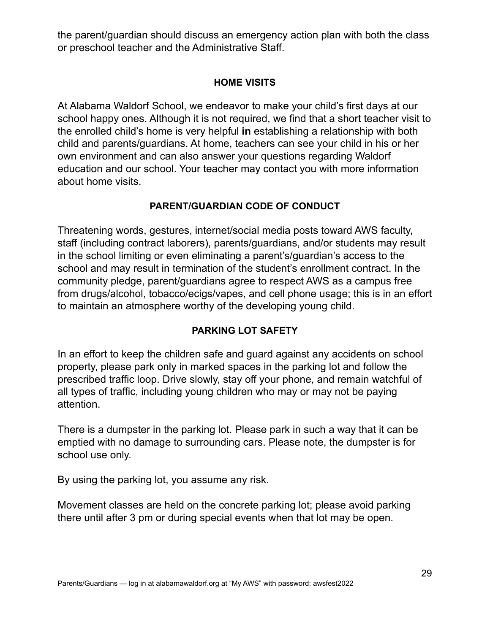the parent/guardian should discuss an emergency action plan with both the class or preschool teacher and the Administrative Staff.

# **HOME VISITS**

At Alabama Waldorf School, we endeavor to make your child's first days at our school happy ones. Although it is not required, we find that a short teacher visit to the enrolled child's home is very helpful **in** establishing a relationship with both child and parents/guardians. At home, teachers can see your child in his or her own environment and can also answer your questions regarding Waldorf education and our school. Your teacher may contact you with more information about home visits.

# **PARENT/GUARDIAN CODE OF CONDUCT**

Threatening words, gestures, internet/social media posts toward AWS faculty, staff (including contract laborers), parents/guardians, and/or students may result in the school limiting or even eliminating a parent's/guardian's access to the school and may result in termination of the student's enrollment contract. In the community pledge, parent/guardians agree to respect AWS as a campus free from drugs/alcohol, tobacco/ecigs/vapes, and cell phone usage; this is in an effort to maintain an atmosphere worthy of the developing young child.

# **PARKING LOT SAFETY**

In an effort to keep the children safe and guard against any accidents on school property, please park only in marked spaces in the parking lot and follow the prescribed traffic loop. Drive slowly, stay off your phone, and remain watchful of all types of traffic, including young children who may or may not be paying attention.

There is a dumpster in the parking lot. Please park in such a way that it can be emptied with no damage to surrounding cars. Please note, the dumpster is for school use only.

By using the parking lot, you assume any risk.

Movement classes are held on the concrete parking lot; please avoid parking there until after 3 pm or during special events when that lot may be open.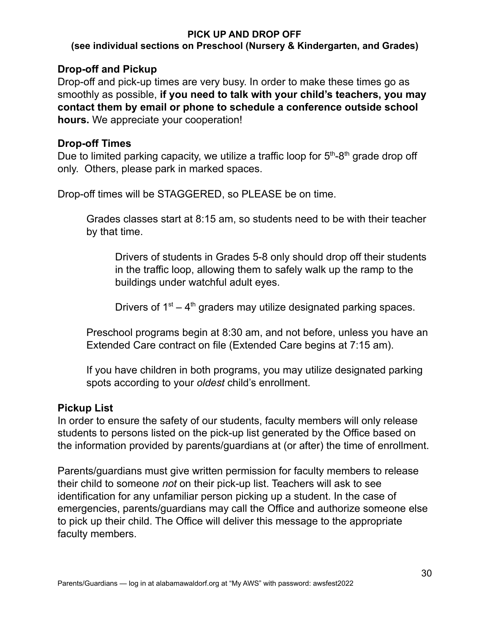### **PICK UP AND DROP OFF**

### **(see individual sections on Preschool (Nursery & Kindergarten, and Grades)**

# **Drop-off and Pickup**

Drop-off and pick-up times are very busy. In order to make these times go as smoothly as possible, **if you need to talk with your child's teachers, you may contact them by email or phone to schedule a conference outside school hours.** We appreciate your cooperation!

# **Drop-off Times**

Due to limited parking capacity, we utilize a traffic loop for 5<sup>th</sup>-8<sup>th</sup> grade drop off only. Others, please park in marked spaces.

Drop-off times will be STAGGERED, so PLEASE be on time.

Grades classes start at 8:15 am, so students need to be with their teacher by that time.

Drivers of students in Grades 5-8 only should drop off their students in the traffic loop, allowing them to safely walk up the ramp to the buildings under watchful adult eyes.

Drivers of  $1<sup>st</sup> - 4<sup>th</sup>$  graders may utilize designated parking spaces.

Preschool programs begin at 8:30 am, and not before, unless you have an Extended Care contract on file (Extended Care begins at 7:15 am).

If you have children in both programs, you may utilize designated parking spots according to your *oldest* child's enrollment.

# **Pickup List**

In order to ensure the safety of our students, faculty members will only release students to persons listed on the pick-up list generated by the Office based on the information provided by parents/guardians at (or after) the time of enrollment.

Parents/guardians must give written permission for faculty members to release their child to someone *not* on their pick-up list. Teachers will ask to see identification for any unfamiliar person picking up a student. In the case of emergencies, parents/guardians may call the Office and authorize someone else to pick up their child. The Office will deliver this message to the appropriate faculty members.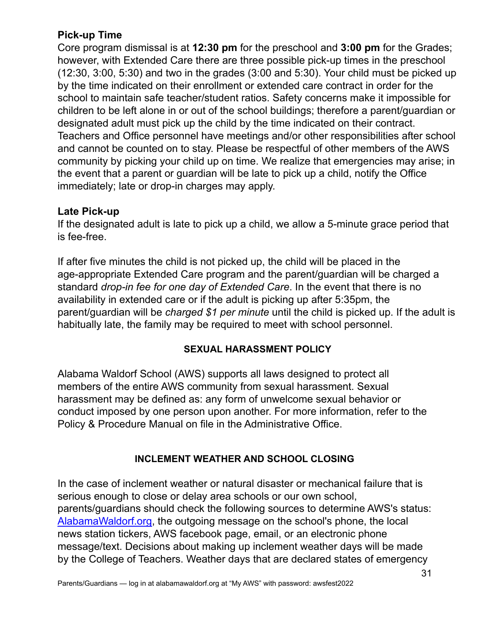# **Pick-up Time**

Core program dismissal is at **12:30 pm** for the preschool and **3:00 pm** for the Grades; however, with Extended Care there are three possible pick-up times in the preschool (12:30, 3:00, 5:30) and two in the grades (3:00 and 5:30). Your child must be picked up by the time indicated on their enrollment or extended care contract in order for the school to maintain safe teacher/student ratios. Safety concerns make it impossible for children to be left alone in or out of the school buildings; therefore a parent/guardian or designated adult must pick up the child by the time indicated on their contract. Teachers and Office personnel have meetings and/or other responsibilities after school and cannot be counted on to stay. Please be respectful of other members of the AWS community by picking your child up on time. We realize that emergencies may arise; in the event that a parent or guardian will be late to pick up a child, notify the Office immediately; late or drop-in charges may apply.

# **Late Pick-up**

If the designated adult is late to pick up a child, we allow a 5-minute grace period that is fee-free.

If after five minutes the child is not picked up, the child will be placed in the age-appropriate Extended Care program and the parent/guardian will be charged a standard *drop-in fee for one day of Extended Care*. In the event that there is no availability in extended care or if the adult is picking up after 5:35pm, the parent/guardian will be *charged \$1 per minute* until the child is picked up. If the adult is habitually late, the family may be required to meet with school personnel.

# **SEXUAL HARASSMENT POLICY**

Alabama Waldorf School (AWS) supports all laws designed to protect all members of the entire AWS community from sexual harassment. Sexual harassment may be defined as: any form of unwelcome sexual behavior or conduct imposed by one person upon another. For more information, refer to the Policy & Procedure Manual on file in the Administrative Office.

# **INCLEMENT WEATHER AND SCHOOL CLOSING**

In the case of inclement weather or natural disaster or mechanical failure that is serious enough to close or delay area schools or our own school, parents/guardians should check the following sources to determine AWS's status: [AlabamaWaldorf.org,](http://alabamawaldorf.org) the outgoing message on the school's phone, the local news station tickers, AWS facebook page, email, or an electronic phone message/text. Decisions about making up inclement weather days will be made by the College of Teachers. Weather days that are declared states of emergency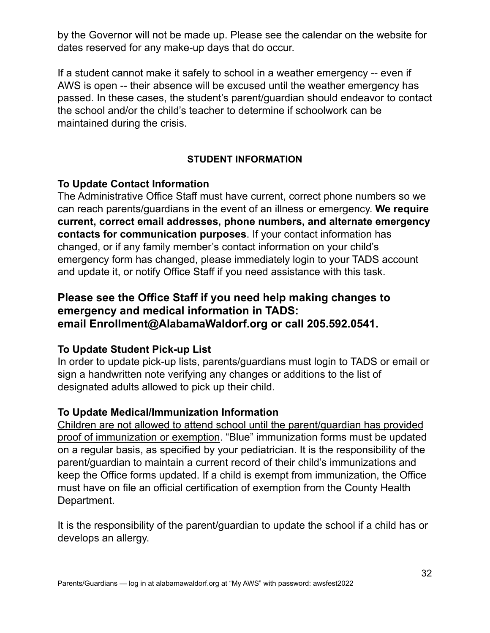by the Governor will not be made up. Please see the calendar on the website for dates reserved for any make-up days that do occur.

If a student cannot make it safely to school in a weather emergency -- even if AWS is open -- their absence will be excused until the weather emergency has passed. In these cases, the student's parent/guardian should endeavor to contact the school and/or the child's teacher to determine if schoolwork can be maintained during the crisis.

# **STUDENT INFORMATION**

# **To Update Contact Information**

The Administrative Office Staff must have current, correct phone numbers so we can reach parents/guardians in the event of an illness or emergency. **We require current, correct email addresses, phone numbers, and alternate emergency contacts for communication purposes**. If your contact information has changed, or if any family member's contact information on your child's emergency form has changed, please immediately login to your TADS account and update it, or notify Office Staff if you need assistance with this task.

# **Please see the Office Staff if you need help making changes to emergency and medical information in TADS: email Enrollment@AlabamaWaldorf.org or call 205.592.0541.**

# **To Update Student Pick-up List**

In order to update pick-up lists, parents/guardians must login to TADS or email or sign a handwritten note verifying any changes or additions to the list of designated adults allowed to pick up their child.

# **To Update Medical/Immunization Information**

Children are not allowed to attend school until the parent/guardian has provided proof of immunization or exemption. "Blue" immunization forms must be updated on a regular basis, as specified by your pediatrician. It is the responsibility of the parent/guardian to maintain a current record of their child's immunizations and keep the Office forms updated. If a child is exempt from immunization, the Office must have on file an official certification of exemption from the County Health Department.

It is the responsibility of the parent/guardian to update the school if a child has or develops an allergy.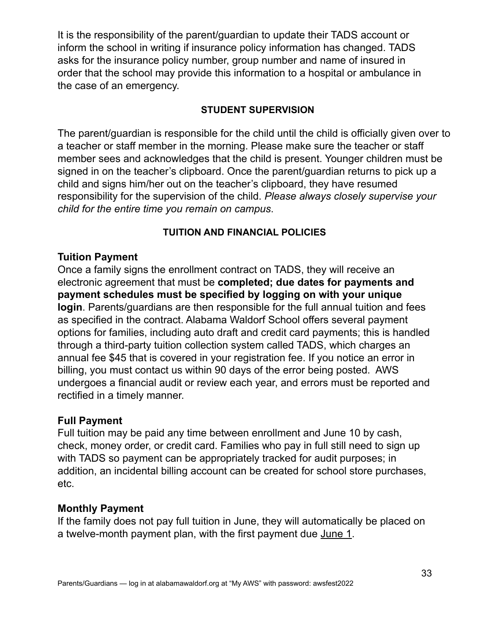It is the responsibility of the parent/guardian to update their TADS account or inform the school in writing if insurance policy information has changed. TADS asks for the insurance policy number, group number and name of insured in order that the school may provide this information to a hospital or ambulance in the case of an emergency.

# **STUDENT SUPERVISION**

The parent/guardian is responsible for the child until the child is officially given over to a teacher or staff member in the morning. Please make sure the teacher or staff member sees and acknowledges that the child is present. Younger children must be signed in on the teacher's clipboard. Once the parent/guardian returns to pick up a child and signs him/her out on the teacher's clipboard, they have resumed responsibility for the supervision of the child. *Please always closely supervise your child for the entire time you remain on campus*.

# **TUITION AND FINANCIAL POLICIES**

# **Tuition Payment**

Once a family signs the enrollment contract on TADS, they will receive an electronic agreement that must be **completed; due dates for payments and payment schedules must be specified by logging on with your unique login**. Parents/guardians are then responsible for the full annual tuition and fees as specified in the contract. Alabama Waldorf School offers several payment options for families, including auto draft and credit card payments; this is handled through a third-party tuition collection system called TADS, which charges an annual fee \$45 that is covered in your registration fee. If you notice an error in billing, you must contact us within 90 days of the error being posted. AWS undergoes a financial audit or review each year, and errors must be reported and rectified in a timely manner.

# **Full Payment**

Full tuition may be paid any time between enrollment and June 10 by cash, check, money order, or credit card. Families who pay in full still need to sign up with TADS so payment can be appropriately tracked for audit purposes; in addition, an incidental billing account can be created for school store purchases, etc.

# **Monthly Payment**

If the family does not pay full tuition in June, they will automatically be placed on a twelve-month payment plan, with the first payment due June 1.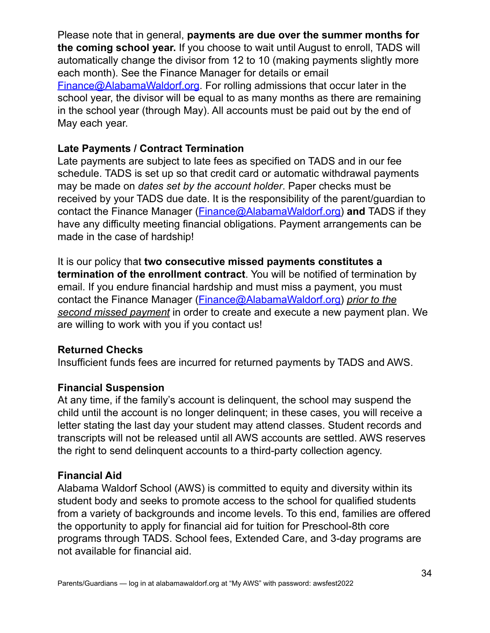Please note that in general, **payments are due over the summer months for the coming school year.** If you choose to wait until August to enroll, TADS will automatically change the divisor from 12 to 10 (making payments slightly more each month). See the Finance Manager for details or email [Finance@AlabamaWaldorf.org](mailto:Finance@AlabamaWaldorf.org). For rolling admissions that occur later in the school year, the divisor will be equal to as many months as there are remaining in the school year (through May). All accounts must be paid out by the end of May each year.

# **Late Payments / Contract Termination**

Late payments are subject to late fees as specified on TADS and in our fee schedule. TADS is set up so that credit card or automatic withdrawal payments may be made on *dates set by the account holder*. Paper checks must be received by your TADS due date. It is the responsibility of the parent/guardian to contact the Finance Manager [\(Finance@AlabamaWaldorf.org\)](mailto:finance@alabamawaldorf.org) **and** TADS if they have any difficulty meeting financial obligations. Payment arrangements can be made in the case of hardship!

It is our policy that **two consecutive missed payments constitutes a termination of the enrollment contract**. You will be notified of termination by email. If you endure financial hardship and must miss a payment, you must contact the Finance Manager [\(Finance@AlabamaWaldorf.org\)](mailto:Finance@AlabamaWaldorf.org) *prior to the second missed payment* in order to create and execute a new payment plan. We are willing to work with you if you contact us!

### **Returned Checks**

Insufficient funds fees are incurred for returned payments by TADS and AWS.

# **Financial Suspension**

At any time, if the family's account is delinquent, the school may suspend the child until the account is no longer delinquent; in these cases, you will receive a letter stating the last day your student may attend classes. Student records and transcripts will not be released until all AWS accounts are settled. AWS reserves the right to send delinquent accounts to a third-party collection agency.

### **Financial Aid**

Alabama Waldorf School (AWS) is committed to equity and diversity within its student body and seeks to promote access to the school for qualified students from a variety of backgrounds and income levels. To this end, families are offered the opportunity to apply for financial aid for tuition for Preschool-8th core programs through TADS. School fees, Extended Care, and 3-day programs are not available for financial aid.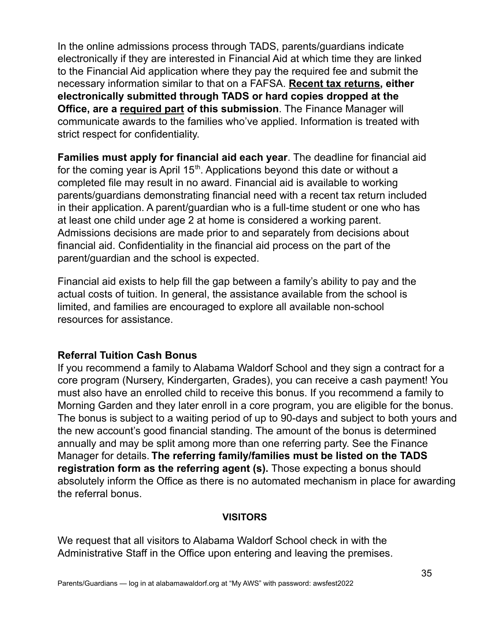In the online admissions process through TADS, parents/guardians indicate electronically if they are interested in Financial Aid at which time they are linked to the Financial Aid application where they pay the required fee and submit the necessary information similar to that on a FAFSA. **Recent tax returns, either electronically submitted through TADS or hard copies dropped at the Office, are a required part of this submission**. The Finance Manager will communicate awards to the families who've applied. Information is treated with strict respect for confidentiality.

**Families must apply for financial aid each year**. The deadline for financial aid for the coming year is April  $15<sup>th</sup>$ . Applications beyond this date or without a completed file may result in no award. Financial aid is available to working parents/guardians demonstrating financial need with a recent tax return included in their application. A parent/guardian who is a full-time student or one who has at least one child under age 2 at home is considered a working parent. Admissions decisions are made prior to and separately from decisions about financial aid. Confidentiality in the financial aid process on the part of the parent/guardian and the school is expected.

Financial aid exists to help fill the gap between a family's ability to pay and the actual costs of tuition. In general, the assistance available from the school is limited, and families are encouraged to explore all available non-school resources for assistance.

# **Referral Tuition Cash Bonus**

If you recommend a family to Alabama Waldorf School and they sign a contract for a core program (Nursery, Kindergarten, Grades), you can receive a cash payment! You must also have an enrolled child to receive this bonus. If you recommend a family to Morning Garden and they later enroll in a core program, you are eligible for the bonus. The bonus is subject to a waiting period of up to 90-days and subject to both yours and the new account's good financial standing. The amount of the bonus is determined annually and may be split among more than one referring party. See the Finance Manager for details. **The referring family/families must be listed on the TADS registration form as the referring agent (s).** Those expecting a bonus should absolutely inform the Office as there is no automated mechanism in place for awarding the referral bonus.

### **VISITORS**

We request that all visitors to Alabama Waldorf School check in with the Administrative Staff in the Office upon entering and leaving the premises.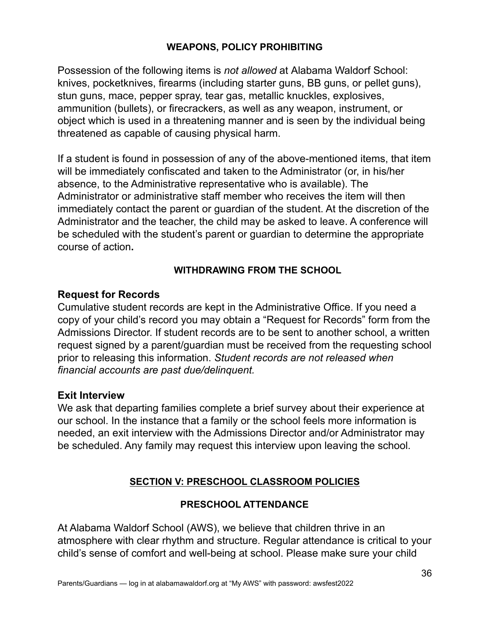# **WEAPONS, POLICY PROHIBITING**

Possession of the following items is *not allowed* at Alabama Waldorf School: knives, pocketknives, firearms (including starter guns, BB guns, or pellet guns), stun guns, mace, pepper spray, tear gas, metallic knuckles, explosives, ammunition (bullets), or firecrackers, as well as any weapon, instrument, or object which is used in a threatening manner and is seen by the individual being threatened as capable of causing physical harm.

If a student is found in possession of any of the above-mentioned items, that item will be immediately confiscated and taken to the Administrator (or, in his/her absence, to the Administrative representative who is available). The Administrator or administrative staff member who receives the item will then immediately contact the parent or guardian of the student. At the discretion of the Administrator and the teacher, the child may be asked to leave. A conference will be scheduled with the student's parent or guardian to determine the appropriate course of action**.**

# **WITHDRAWING FROM THE SCHOOL**

### **Request for Records**

Cumulative student records are kept in the Administrative Office. If you need a copy of your child's record you may obtain a "Request for Records" form from the Admissions Director. If student records are to be sent to another school, a written request signed by a parent/guardian must be received from the requesting school prior to releasing this information. *Student records are not released when financial accounts are past due/delinquent.*

#### **Exit Interview**

We ask that departing families complete a brief survey about their experience at our school. In the instance that a family or the school feels more information is needed, an exit interview with the Admissions Director and/or Administrator may be scheduled. Any family may request this interview upon leaving the school.

### **SECTION V: PRESCHOOL CLASSROOM POLICIES**

### **PRESCHOOL ATTENDANCE**

At Alabama Waldorf School (AWS), we believe that children thrive in an atmosphere with clear rhythm and structure. Regular attendance is critical to your child's sense of comfort and well-being at school. Please make sure your child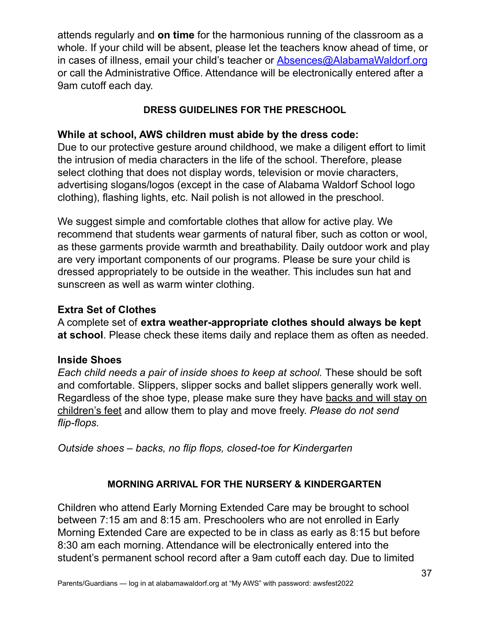attends regularly and **on time** for the harmonious running of the classroom as a whole. If your child will be absent, please let the teachers know ahead of time, or in cases of illness, email your child's teacher or [Absences@AlabamaWaldorf.org](mailto:Absences@AlabamaWaldorf.org) or call the Administrative Office. Attendance will be electronically entered after a 9am cutoff each day.

# **DRESS GUIDELINES FOR THE PRESCHOOL**

# **While at school, AWS children must abide by the dress code:**

Due to our protective gesture around childhood, we make a diligent effort to limit the intrusion of media characters in the life of the school. Therefore, please select clothing that does not display words, television or movie characters, advertising slogans/logos (except in the case of Alabama Waldorf School logo clothing), flashing lights, etc. Nail polish is not allowed in the preschool.

We suggest simple and comfortable clothes that allow for active play. We recommend that students wear garments of natural fiber, such as cotton or wool, as these garments provide warmth and breathability. Daily outdoor work and play are very important components of our programs. Please be sure your child is dressed appropriately to be outside in the weather. This includes sun hat and sunscreen as well as warm winter clothing.

# **Extra Set of Clothes**

A complete set of **extra weather-appropriate clothes should always be kept at school**. Please check these items daily and replace them as often as needed.

# **Inside Shoes**

*Each child needs a pair of inside shoes to keep at school.* These should be soft and comfortable. Slippers, slipper socks and ballet slippers generally work well. Regardless of the shoe type, please make sure they have backs and will stay on children's feet and allow them to play and move freely. *Please do not send flip-flops.*

*Outside shoes – backs, no flip flops, closed-toe for Kindergarten*

# **MORNING ARRIVAL FOR THE NURSERY & KINDERGARTEN**

Children who attend Early Morning Extended Care may be brought to school between 7:15 am and 8:15 am. Preschoolers who are not enrolled in Early Morning Extended Care are expected to be in class as early as 8:15 but before 8:30 am each morning. Attendance will be electronically entered into the student's permanent school record after a 9am cutoff each day. Due to limited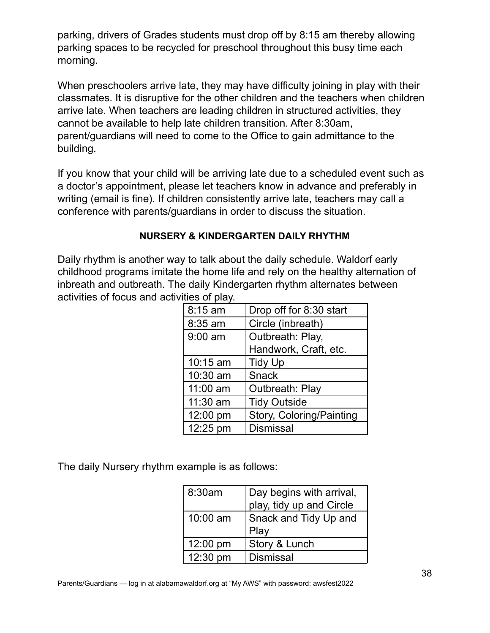parking, drivers of Grades students must drop off by 8:15 am thereby allowing parking spaces to be recycled for preschool throughout this busy time each morning.

When preschoolers arrive late, they may have difficulty joining in play with their classmates. It is disruptive for the other children and the teachers when children arrive late. When teachers are leading children in structured activities, they cannot be available to help late children transition. After 8:30am, parent/guardians will need to come to the Office to gain admittance to the building.

If you know that your child will be arriving late due to a scheduled event such as a doctor's appointment, please let teachers know in advance and preferably in writing (email is fine). If children consistently arrive late, teachers may call a conference with parents/guardians in order to discuss the situation.

### **NURSERY & KINDERGARTEN DAILY RHYTHM**

Daily rhythm is another way to talk about the daily schedule. Waldorf early childhood programs imitate the home life and rely on the healthy alternation of inbreath and outbreath. The daily Kindergarten rhythm alternates between activities of focus and activities of play.

| 8:15 am   | Drop off for 8:30 start  |
|-----------|--------------------------|
| 8:35 am   | Circle (inbreath)        |
| $9:00$ am | Outbreath: Play,         |
|           | Handwork, Craft, etc.    |
| 10:15 am  | <b>Tidy Up</b>           |
| 10:30 am  | <b>Snack</b>             |
| 11:00 am  | Outbreath: Play          |
| 11:30 am  | <b>Tidy Outside</b>      |
| 12:00 pm  | Story, Coloring/Painting |
| 12:25 pm  | <b>Dismissal</b>         |

The daily Nursery rhythm example is as follows:

| 8:30am   | Day begins with arrival, |
|----------|--------------------------|
|          | play, tidy up and Circle |
| 10:00 am | Snack and Tidy Up and    |
|          | Play                     |
| 12:00 pm | Story & Lunch            |
| 12:30 pm | <b>Dismissal</b>         |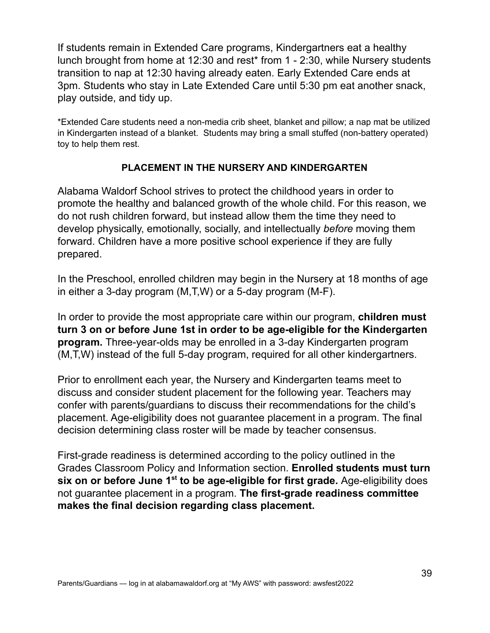If students remain in Extended Care programs, Kindergartners eat a healthy lunch brought from home at 12:30 and rest\* from 1 - 2:30, while Nursery students transition to nap at 12:30 having already eaten. Early Extended Care ends at 3pm. Students who stay in Late Extended Care until 5:30 pm eat another snack, play outside, and tidy up.

\*Extended Care students need a non-media crib sheet, blanket and pillow; a nap mat be utilized in Kindergarten instead of a blanket. Students may bring a small stuffed (non-battery operated) toy to help them rest.

# **PLACEMENT IN THE NURSERY AND KINDERGARTEN**

Alabama Waldorf School strives to protect the childhood years in order to promote the healthy and balanced growth of the whole child. For this reason, we do not rush children forward, but instead allow them the time they need to develop physically, emotionally, socially, and intellectually *before* moving them forward. Children have a more positive school experience if they are fully prepared.

In the Preschool, enrolled children may begin in the Nursery at 18 months of age in either a 3-day program (M,T,W) or a 5-day program (M-F).

In order to provide the most appropriate care within our program, **children must turn 3 on or before June 1st in order to be age-eligible for the Kindergarten program.** Three-year-olds may be enrolled in a 3-day Kindergarten program (M,T,W) instead of the full 5-day program, required for all other kindergartners.

Prior to enrollment each year, the Nursery and Kindergarten teams meet to discuss and consider student placement for the following year. Teachers may confer with parents/guardians to discuss their recommendations for the child's placement. Age-eligibility does not guarantee placement in a program. The final decision determining class roster will be made by teacher consensus.

First-grade readiness is determined according to the policy outlined in the Grades Classroom Policy and Information section. **Enrolled students must turn six on or before June 1 st to be age-eligible for first grade.** Age-eligibility does not guarantee placement in a program. **The first-grade readiness committee makes the final decision regarding class placement.**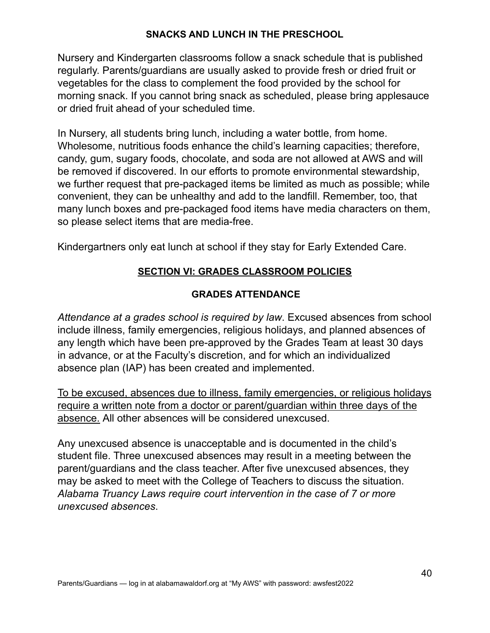# **SNACKS AND LUNCH IN THE PRESCHOOL**

Nursery and Kindergarten classrooms follow a snack schedule that is published regularly. Parents/guardians are usually asked to provide fresh or dried fruit or vegetables for the class to complement the food provided by the school for morning snack. If you cannot bring snack as scheduled, please bring applesauce or dried fruit ahead of your scheduled time.

In Nursery, all students bring lunch, including a water bottle, from home. Wholesome, nutritious foods enhance the child's learning capacities; therefore, candy, gum, sugary foods, chocolate, and soda are not allowed at AWS and will be removed if discovered. In our efforts to promote environmental stewardship, we further request that pre-packaged items be limited as much as possible; while convenient, they can be unhealthy and add to the landfill. Remember, too, that many lunch boxes and pre-packaged food items have media characters on them, so please select items that are media-free.

Kindergartners only eat lunch at school if they stay for Early Extended Care.

# **SECTION VI: GRADES CLASSROOM POLICIES**

# **GRADES ATTENDANCE**

*Attendance at a grades school is required by law*. Excused absences from school include illness, family emergencies, religious holidays, and planned absences of any length which have been pre-approved by the Grades Team at least 30 days in advance, or at the Faculty's discretion, and for which an individualized absence plan (IAP) has been created and implemented.

To be excused, absences due to illness, family emergencies, or religious holidays require a written note from a doctor or parent/guardian within three days of the absence. All other absences will be considered unexcused.

Any unexcused absence is unacceptable and is documented in the child's student file. Three unexcused absences may result in a meeting between the parent/guardians and the class teacher. After five unexcused absences, they may be asked to meet with the College of Teachers to discuss the situation. *Alabama Truancy Laws require court intervention in the case of 7 or more unexcused absences*.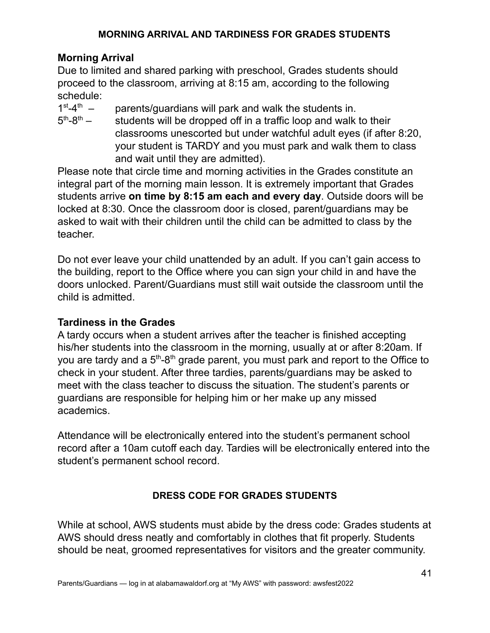# **MORNING ARRIVAL AND TARDINESS FOR GRADES STUDENTS**

# **Morning Arrival**

Due to limited and shared parking with preschool, Grades students should proceed to the classroom, arriving at 8:15 am, according to the following schedule:

- $1<sup>st</sup>-4<sup>t</sup>$ parents/guardians will park and walk the students in.
- $5<sup>th</sup> 8<sup>t</sup>$ students will be dropped off in a traffic loop and walk to their classrooms unescorted but under watchful adult eyes (if after 8:20, your student is TARDY and you must park and walk them to class and wait until they are admitted).

Please note that circle time and morning activities in the Grades constitute an integral part of the morning main lesson. It is extremely important that Grades students arrive **on time by 8:15 am each and every day**. Outside doors will be locked at 8:30. Once the classroom door is closed, parent/guardians may be asked to wait with their children until the child can be admitted to class by the teacher.

Do not ever leave your child unattended by an adult. If you can't gain access to the building, report to the Office where you can sign your child in and have the doors unlocked. Parent/Guardians must still wait outside the classroom until the child is admitted.

# **Tardiness in the Grades**

A tardy occurs when a student arrives after the teacher is finished accepting his/her students into the classroom in the morning, usually at or after 8:20am. If you are tardy and a 5<sup>th</sup>-8<sup>th</sup> grade parent, you must park and report to the Office to check in your student. After three tardies, parents/guardians may be asked to meet with the class teacher to discuss the situation. The student's parents or guardians are responsible for helping him or her make up any missed academics.

Attendance will be electronically entered into the student's permanent school record after a 10am cutoff each day. Tardies will be electronically entered into the student's permanent school record.

# **DRESS CODE FOR GRADES STUDENTS**

While at school, AWS students must abide by the dress code: Grades students at AWS should dress neatly and comfortably in clothes that fit properly. Students should be neat, groomed representatives for visitors and the greater community.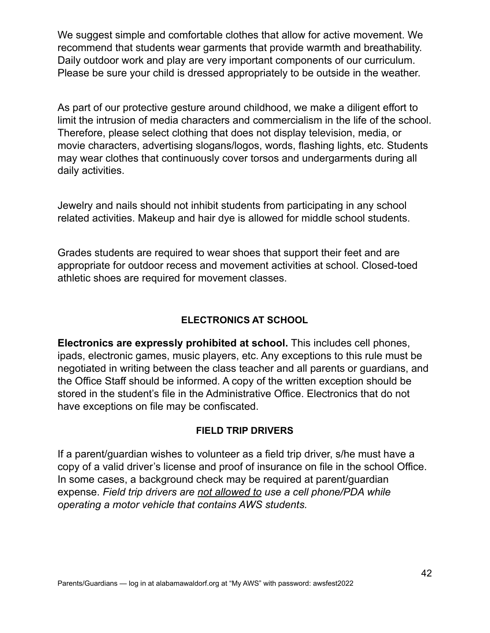We suggest simple and comfortable clothes that allow for active movement. We recommend that students wear garments that provide warmth and breathability. Daily outdoor work and play are very important components of our curriculum. Please be sure your child is dressed appropriately to be outside in the weather.

As part of our protective gesture around childhood, we make a diligent effort to limit the intrusion of media characters and commercialism in the life of the school. Therefore, please select clothing that does not display television, media, or movie characters, advertising slogans/logos, words, flashing lights, etc. Students may wear clothes that continuously cover torsos and undergarments during all daily activities.

Jewelry and nails should not inhibit students from participating in any school related activities. Makeup and hair dye is allowed for middle school students.

Grades students are required to wear shoes that support their feet and are appropriate for outdoor recess and movement activities at school. Closed-toed athletic shoes are required for movement classes.

# **ELECTRONICS AT SCHOOL**

**Electronics are expressly prohibited at school.** This includes cell phones, ipads, electronic games, music players, etc. Any exceptions to this rule must be negotiated in writing between the class teacher and all parents or guardians, and the Office Staff should be informed. A copy of the written exception should be stored in the student's file in the Administrative Office. Electronics that do not have exceptions on file may be confiscated.

#### **FIELD TRIP DRIVERS**

If a parent/guardian wishes to volunteer as a field trip driver, s/he must have a copy of a valid driver's license and proof of insurance on file in the school Office. In some cases, a background check may be required at parent/guardian expense. *Field trip drivers are not allowed to use a cell phone/PDA while operating a motor vehicle that contains AWS students.*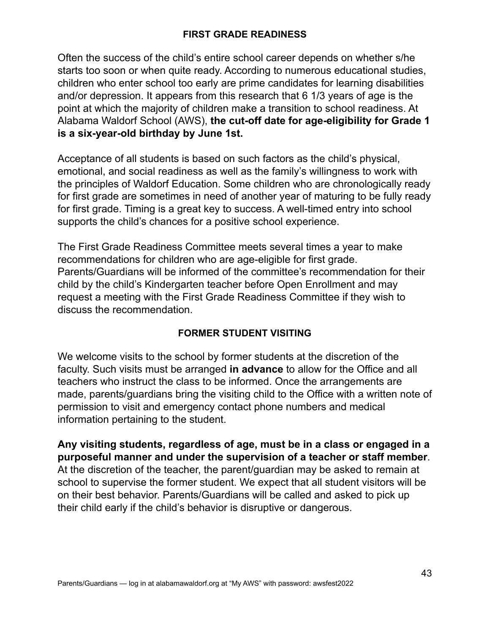# **FIRST GRADE READINESS**

Often the success of the child's entire school career depends on whether s/he starts too soon or when quite ready. According to numerous educational studies, children who enter school too early are prime candidates for learning disabilities and/or depression. It appears from this research that 6 1/3 years of age is the point at which the majority of children make a transition to school readiness. At Alabama Waldorf School (AWS), **the cut-off date for age-eligibility for Grade 1 is a six-year-old birthday by June 1st.**

Acceptance of all students is based on such factors as the child's physical, emotional, and social readiness as well as the family's willingness to work with the principles of Waldorf Education. Some children who are chronologically ready for first grade are sometimes in need of another year of maturing to be fully ready for first grade. Timing is a great key to success. A well-timed entry into school supports the child's chances for a positive school experience.

The First Grade Readiness Committee meets several times a year to make recommendations for children who are age-eligible for first grade. Parents/Guardians will be informed of the committee's recommendation for their child by the child's Kindergarten teacher before Open Enrollment and may request a meeting with the First Grade Readiness Committee if they wish to discuss the recommendation.

# **FORMER STUDENT VISITING**

We welcome visits to the school by former students at the discretion of the faculty. Such visits must be arranged **in advance** to allow for the Office and all teachers who instruct the class to be informed. Once the arrangements are made, parents/guardians bring the visiting child to the Office with a written note of permission to visit and emergency contact phone numbers and medical information pertaining to the student.

**Any visiting students, regardless of age, must be in a class or engaged in a purposeful manner and under the supervision of a teacher or staff member**. At the discretion of the teacher, the parent/guardian may be asked to remain at school to supervise the former student. We expect that all student visitors will be on their best behavior. Parents/Guardians will be called and asked to pick up their child early if the child's behavior is disruptive or dangerous.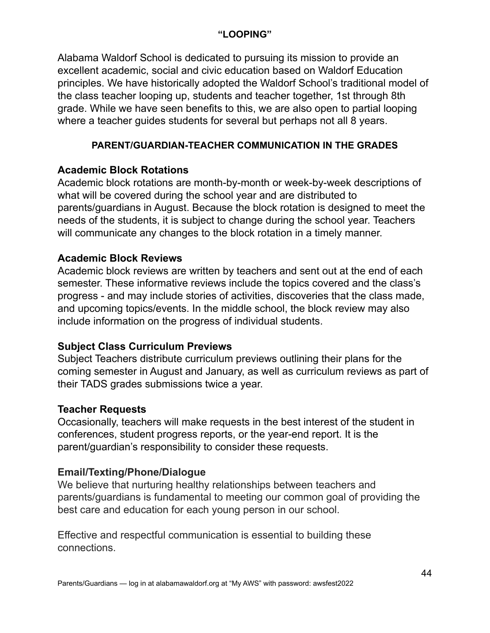### **"LOOPING"**

Alabama Waldorf School is dedicated to pursuing its mission to provide an excellent academic, social and civic education based on Waldorf Education principles. We have historically adopted the Waldorf School's traditional model of the class teacher looping up, students and teacher together, 1st through 8th grade. While we have seen benefits to this, we are also open to partial looping where a teacher guides students for several but perhaps not all 8 years.

# **PARENT/GUARDIAN-TEACHER COMMUNICATION IN THE GRADES**

# **Academic Block Rotations**

Academic block rotations are month-by-month or week-by-week descriptions of what will be covered during the school year and are distributed to parents/guardians in August. Because the block rotation is designed to meet the needs of the students, it is subject to change during the school year. Teachers will communicate any changes to the block rotation in a timely manner.

# **Academic Block Reviews**

Academic block reviews are written by teachers and sent out at the end of each semester. These informative reviews include the topics covered and the class's progress - and may include stories of activities, discoveries that the class made, and upcoming topics/events. In the middle school, the block review may also include information on the progress of individual students.

# **Subject Class Curriculum Previews**

Subject Teachers distribute curriculum previews outlining their plans for the coming semester in August and January, as well as curriculum reviews as part of their TADS grades submissions twice a year.

# **Teacher Requests**

Occasionally, teachers will make requests in the best interest of the student in conferences, student progress reports, or the year-end report. It is the parent/guardian's responsibility to consider these requests.

# **Email/Texting/Phone/Dialogue**

We believe that nurturing healthy relationships between teachers and parents/guardians is fundamental to meeting our common goal of providing the best care and education for each young person in our school.

Effective and respectful communication is essential to building these connections.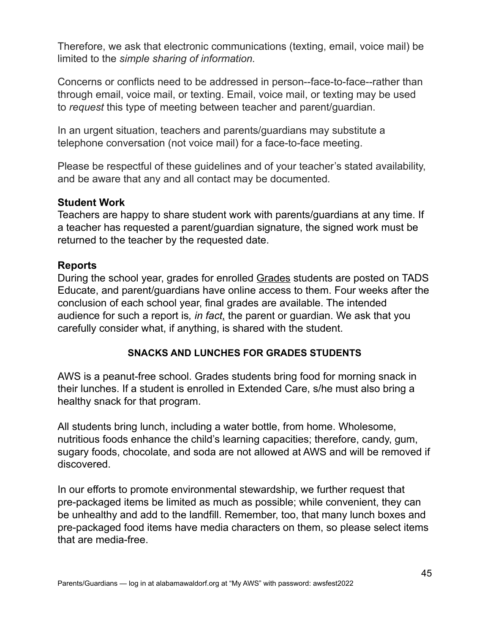Therefore, we ask that electronic communications (texting, email, voice mail) be limited to the *simple sharing of information.*

Concerns or conflicts need to be addressed in person--face-to-face--rather than through email, voice mail, or texting. Email, voice mail, or texting may be used to *request* this type of meeting between teacher and parent/guardian.

In an urgent situation, teachers and parents/guardians may substitute a telephone conversation (not voice mail) for a face-to-face meeting.

Please be respectful of these guidelines and of your teacher's stated availability, and be aware that any and all contact may be documented*.*

# **Student Work**

Teachers are happy to share student work with parents/guardians at any time. If a teacher has requested a parent/guardian signature, the signed work must be returned to the teacher by the requested date.

# **Reports**

During the school year, grades for enrolled Grades students are posted on TADS Educate, and parent/guardians have online access to them. Four weeks after the conclusion of each school year, final grades are available. The intended audience for such a report is*, in fact,* the parent or guardian. We ask that you carefully consider what, if anything, is shared with the student.

# **SNACKS AND LUNCHES FOR GRADES STUDENTS**

AWS is a peanut-free school. Grades students bring food for morning snack in their lunches. If a student is enrolled in Extended Care, s/he must also bring a healthy snack for that program.

All students bring lunch, including a water bottle, from home. Wholesome, nutritious foods enhance the child's learning capacities; therefore, candy, gum, sugary foods, chocolate, and soda are not allowed at AWS and will be removed if discovered.

In our efforts to promote environmental stewardship, we further request that pre-packaged items be limited as much as possible; while convenient, they can be unhealthy and add to the landfill. Remember, too, that many lunch boxes and pre-packaged food items have media characters on them, so please select items that are media-free.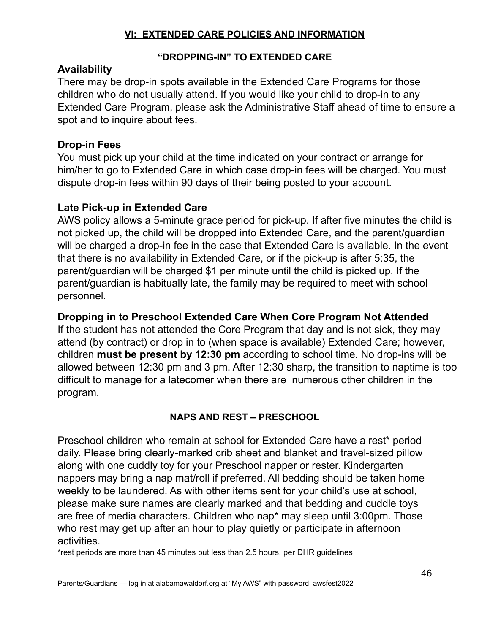# **VI: EXTENDED CARE POLICIES AND INFORMATION**

# **"DROPPING-IN" TO EXTENDED CARE**

# **Availability**

There may be drop-in spots available in the Extended Care Programs for those children who do not usually attend. If you would like your child to drop-in to any Extended Care Program, please ask the Administrative Staff ahead of time to ensure a spot and to inquire about fees.

# **Drop-in Fees**

You must pick up your child at the time indicated on your contract or arrange for him/her to go to Extended Care in which case drop-in fees will be charged. You must dispute drop-in fees within 90 days of their being posted to your account.

# **Late Pick-up in Extended Care**

AWS policy allows a 5-minute grace period for pick-up. If after five minutes the child is not picked up, the child will be dropped into Extended Care, and the parent/guardian will be charged a drop-in fee in the case that Extended Care is available. In the event that there is no availability in Extended Care, or if the pick-up is after 5:35, the parent/guardian will be charged \$1 per minute until the child is picked up. If the parent/guardian is habitually late, the family may be required to meet with school personnel.

# **Dropping in to Preschool Extended Care When Core Program Not Attended**

If the student has not attended the Core Program that day and is not sick, they may attend (by contract) or drop in to (when space is available) Extended Care; however, children **must be present by 12:30 pm** according to school time. No drop-ins will be allowed between 12:30 pm and 3 pm. After 12:30 sharp, the transition to naptime is too difficult to manage for a latecomer when there are numerous other children in the program.

# **NAPS AND REST – PRESCHOOL**

Preschool children who remain at school for Extended Care have a rest\* period daily. Please bring clearly-marked crib sheet and blanket and travel-sized pillow along with one cuddly toy for your Preschool napper or rester. Kindergarten nappers may bring a nap mat/roll if preferred. All bedding should be taken home weekly to be laundered. As with other items sent for your child's use at school, please make sure names are clearly marked and that bedding and cuddle toys are free of media characters. Children who nap\* may sleep until 3:00pm. Those who rest may get up after an hour to play quietly or participate in afternoon activities.

\*rest periods are more than 45 minutes but less than 2.5 hours, per DHR guidelines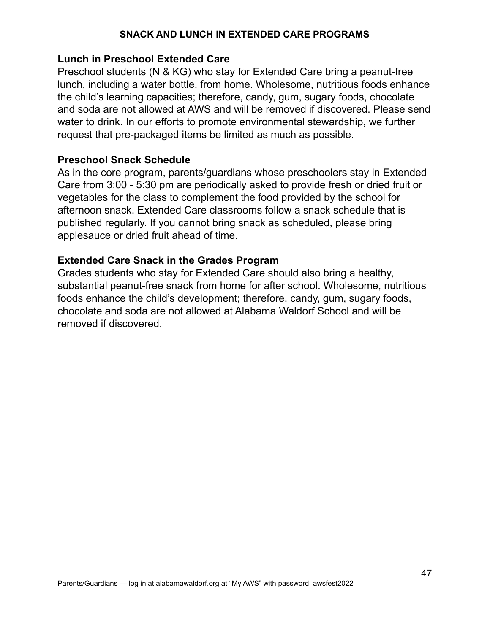#### **SNACK AND LUNCH IN EXTENDED CARE PROGRAMS**

#### **Lunch in Preschool Extended Care**

Preschool students (N & KG) who stay for Extended Care bring a peanut-free lunch, including a water bottle, from home. Wholesome, nutritious foods enhance the child's learning capacities; therefore, candy, gum, sugary foods, chocolate and soda are not allowed at AWS and will be removed if discovered. Please send water to drink. In our efforts to promote environmental stewardship, we further request that pre-packaged items be limited as much as possible.

#### **Preschool Snack Schedule**

As in the core program, parents/guardians whose preschoolers stay in Extended Care from 3:00 - 5:30 pm are periodically asked to provide fresh or dried fruit or vegetables for the class to complement the food provided by the school for afternoon snack. Extended Care classrooms follow a snack schedule that is published regularly. If you cannot bring snack as scheduled, please bring applesauce or dried fruit ahead of time.

### **Extended Care Snack in the Grades Program**

Grades students who stay for Extended Care should also bring a healthy, substantial peanut-free snack from home for after school. Wholesome, nutritious foods enhance the child's development; therefore, candy, gum, sugary foods, chocolate and soda are not allowed at Alabama Waldorf School and will be removed if discovered.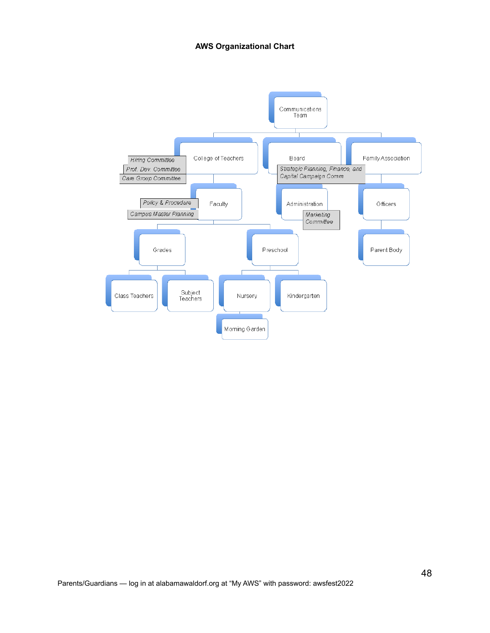#### **AWS Organizational Chart**